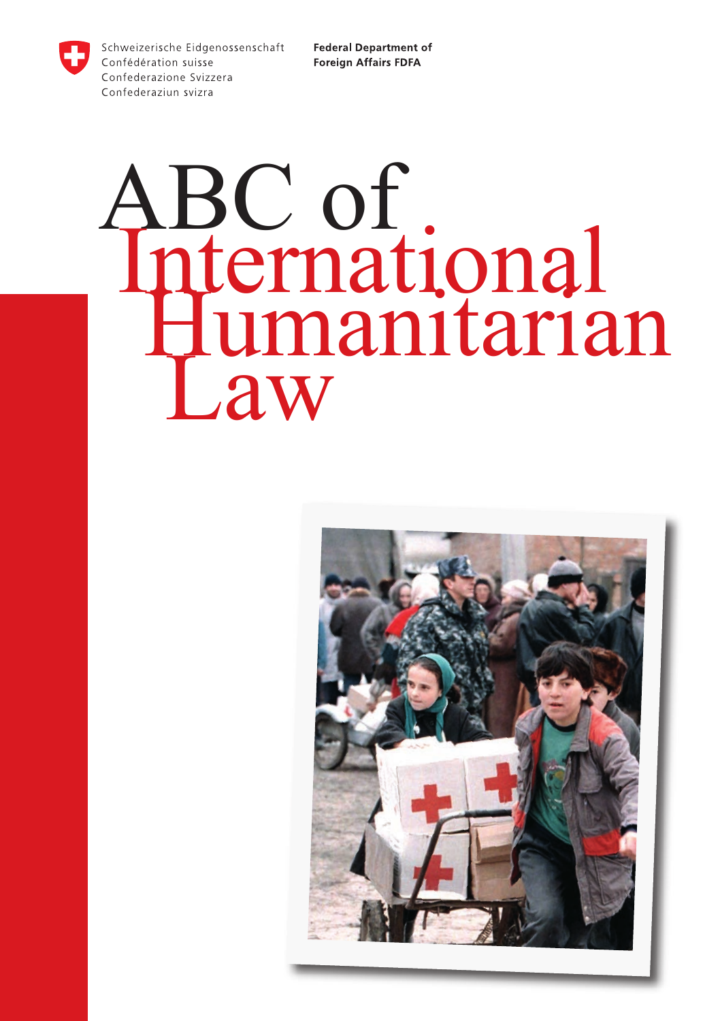Schweizerische Eidgenossenschaft Confédération suisse Confederazione Svizzera Confederaziun svizra

**Federal Department of Foreign Affairs FDFA** 

# ABC of<br>International<br>Humanitarian<br>Law

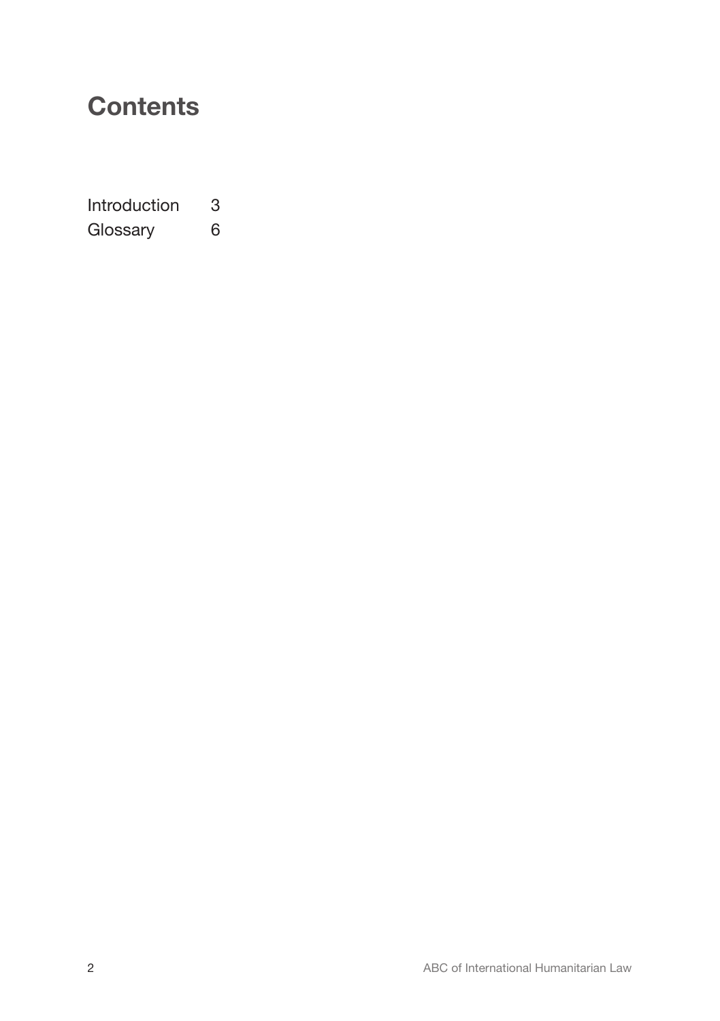# **Contents**

Introduction 3<br>Glossarv 6 Glossary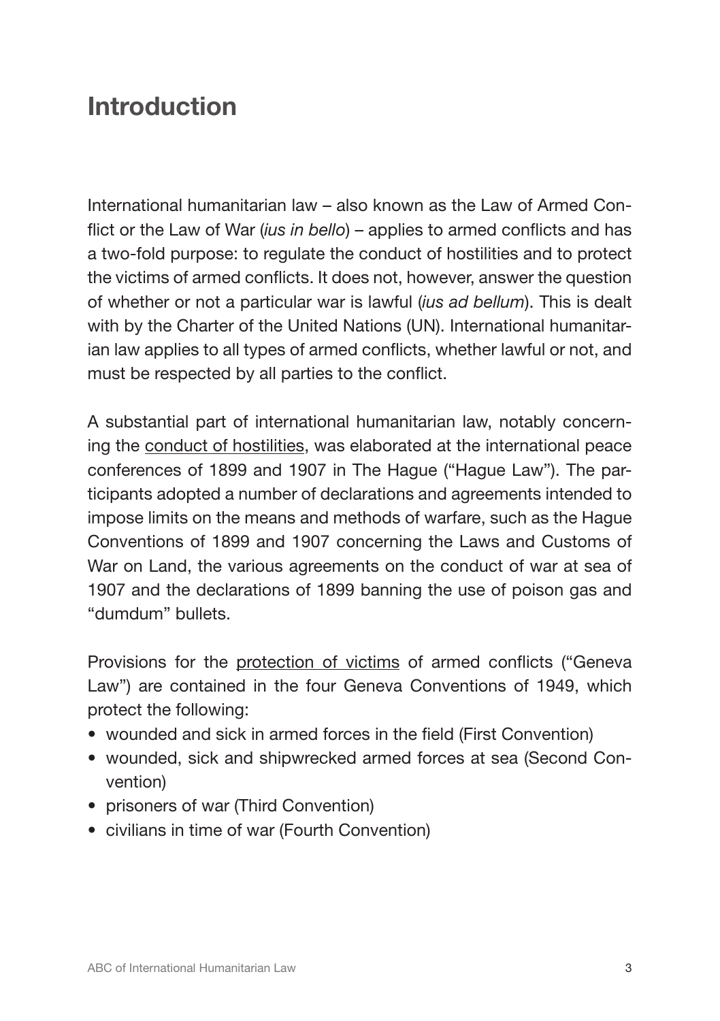# Introduction

International humanitarian law – also known as the Law of Armed Conflict or the Law of War (*ius in bello*) – applies to armed conflicts and has a two-fold purpose: to regulate the conduct of hostilities and to protect the victims of armed conflicts. It does not, however, answer the question of whether or not a particular war is lawful (*ius ad bellum*). This is dealt with by the Charter of the United Nations (UN). International humanitarian law applies to all types of armed conflicts, whether lawful or not, and must be respected by all parties to the conflict.

A substantial part of international humanitarian law, notably concerning the conduct of hostilities, was elaborated at the international peace conferences of 1899 and 1907 in The Hague ("Hague Law"). The participants adopted a number of declarations and agreements intended to impose limits on the means and methods of warfare, such as the Hague Conventions of 1899 and 1907 concerning the Laws and Customs of War on Land, the various agreements on the conduct of war at sea of 1907 and the declarations of 1899 banning the use of poison gas and "dumdum" bullets.

Provisions for the protection of victims of armed conflicts ("Geneva Law") are contained in the four Geneva Conventions of 1949, which protect the following:

- wounded and sick in armed forces in the field (First Convention)
- wounded, sick and shipwrecked armed forces at sea (Second Convention)
- prisoners of war (Third Convention)
- civilians in time of war (Fourth Convention)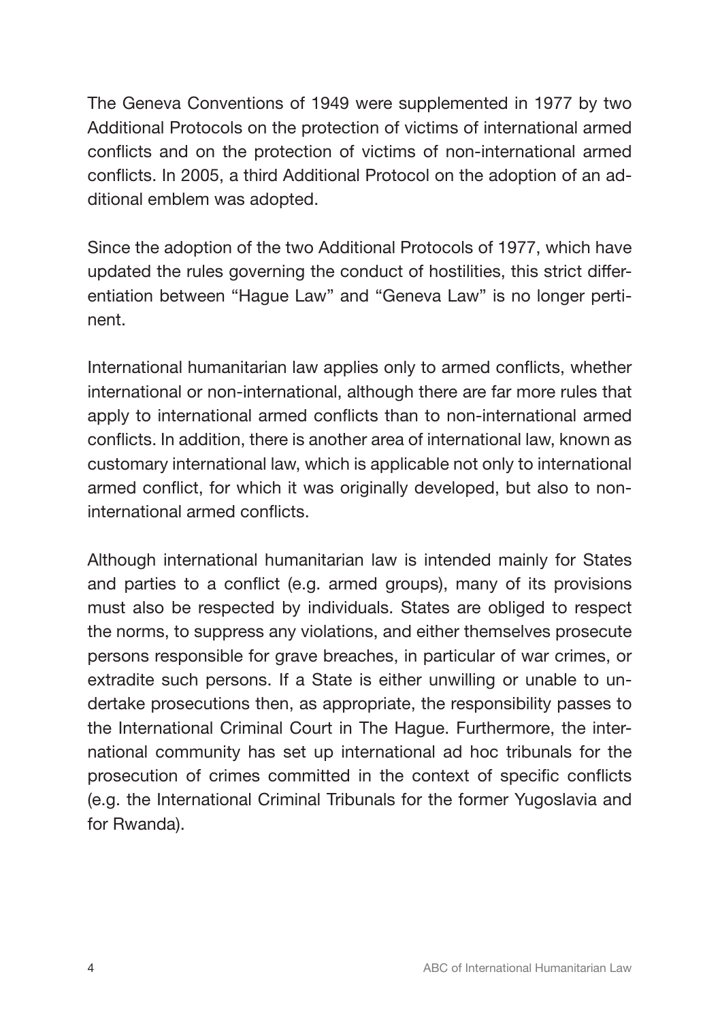The Geneva Conventions of 1949 were supplemented in 1977 by two Additional Protocols on the protection of victims of international armed conflicts and on the protection of victims of non-international armed conflicts. In 2005, a third Additional Protocol on the adoption of an additional emblem was adopted.

Since the adoption of the two Additional Protocols of 1977, which have updated the rules governing the conduct of hostilities, this strict differentiation between "Hague Law" and "Geneva Law" is no longer pertinent.

International humanitarian law applies only to armed conflicts, whether international or non-international, although there are far more rules that apply to international armed conflicts than to non-international armed conflicts. In addition, there is another area of international law, known as customary international law, which is applicable not only to international armed conflict, for which it was originally developed, but also to noninternational armed conflicts.

Although international humanitarian law is intended mainly for States and parties to a conflict (e.g. armed groups), many of its provisions must also be respected by individuals. States are obliged to respect the norms, to suppress any violations, and either themselves prosecute persons responsible for grave breaches, in particular of war crimes, or extradite such persons. If a State is either unwilling or unable to undertake prosecutions then, as appropriate, the responsibility passes to the International Criminal Court in The Hague. Furthermore, the international community has set up international ad hoc tribunals for the prosecution of crimes committed in the context of specific conflicts (e.g. the International Criminal Tribunals for the former Yugoslavia and for Rwanda).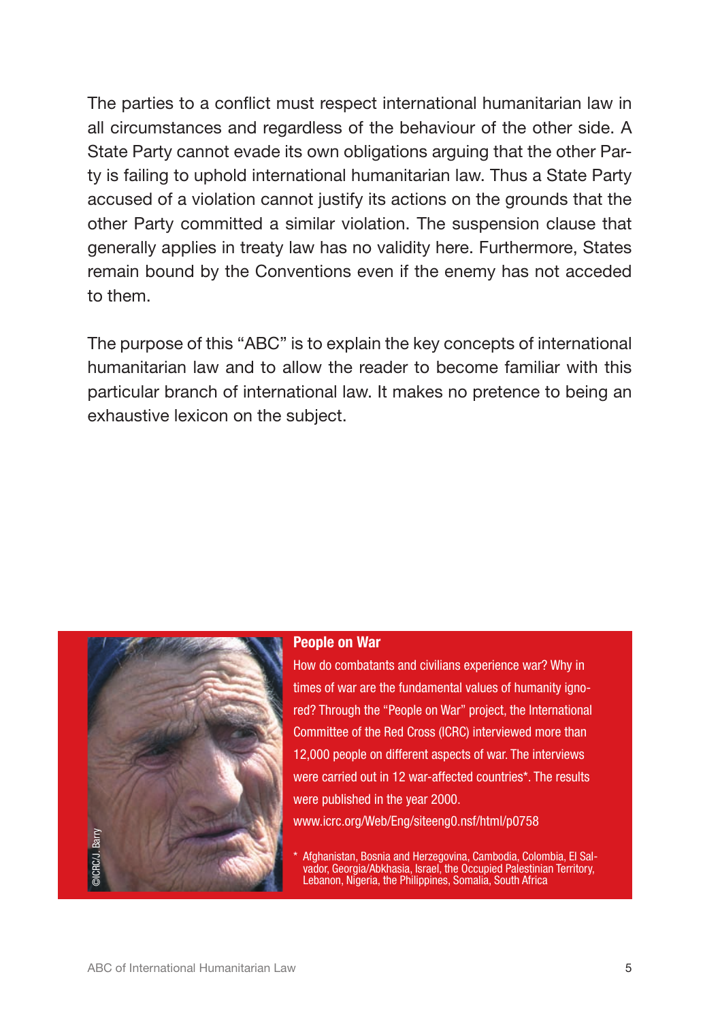The parties to a conflict must respect international humanitarian law in all circumstances and regardless of the behaviour of the other side. A State Party cannot evade its own obligations arguing that the other Party is failing to uphold international humanitarian law. Thus a State Party accused of a violation cannot justify its actions on the grounds that the other Party committed a similar violation. The suspension clause that generally applies in treaty law has no validity here. Furthermore, States remain bound by the Conventions even if the enemy has not acceded to them.

The purpose of this "ABC" is to explain the key concepts of international humanitarian law and to allow the reader to become familiar with this particular branch of international law. It makes no pretence to being an exhaustive lexicon on the subject.



### People on War

How do combatants and civilians experience war? Why in times of war are the fundamental values of humanity ignored? Through the "People on War" project, the International Committee of the Red Cross (ICRC) interviewed more than 12,000 people on different aspects of war. The interviews were carried out in 12 war-affected countries\*. The results were published in the year 2000.

www.icrc.org/Web/Eng/siteeng0.nsf/html/p0758

\* Afghanistan, Bosnia and Herzegovina, Cambodia, Colombia, El Sal- vador, Georgia/Abkhasia, Israel, the Occupied Palestinian Territory, Lebanon, Nigeria, the Philippines, Somalia, South Africa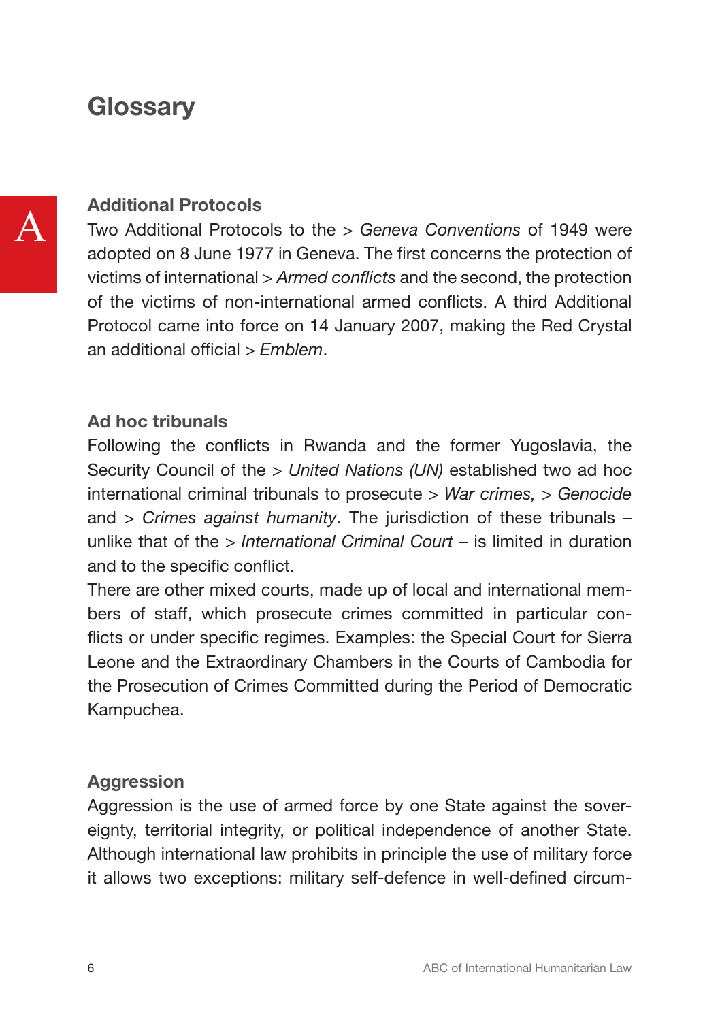# **Glossarv**

# Additional Protocols

Two Additional Protocols to the *> Geneva Conventions* of 1949 were adopted on 8 June 1977 in Geneva. The first concerns the protection of victims of international *> Armed conflicts* and the second, the protection of the victims of non-international armed conflicts. A third Additional Protocol came into force on 14 January 2007, making the Red Crystal an additional official *> Emblem*.

# Ad hoc tribunals

Following the conflicts in Rwanda and the former Yugoslavia, the Security Council of the *> United Nations (UN)* established two ad hoc international criminal tribunals to prosecute *> War crimes, > Genocide* and *> Crimes against humanity*. The jurisdiction of these tribunals – unlike that of the *> International Criminal Court* – is limited in duration and to the specific conflict.

There are other mixed courts, made up of local and international members of staff, which prosecute crimes committed in particular conflicts or under specific regimes. Examples: the Special Court for Sierra Leone and the Extraordinary Chambers in the Courts of Cambodia for the Prosecution of Crimes Committed during the Period of Democratic Kampuchea.

# Aggression

Aggression is the use of armed force by one State against the sovereignty, territorial integrity, or political independence of another State. Although international law prohibits in principle the use of military force it allows two exceptions: military self-defence in well-defined circum-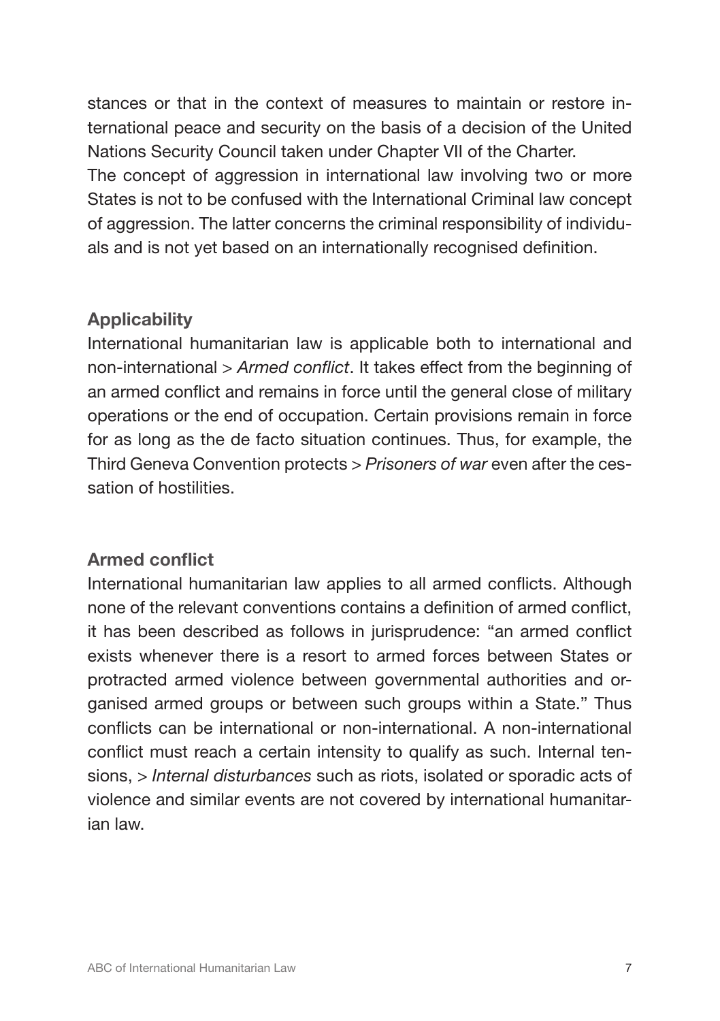stances or that in the context of measures to maintain or restore international peace and security on the basis of a decision of the United Nations Security Council taken under Chapter VII of the Charter.

The concept of aggression in international law involving two or more States is not to be confused with the International Criminal law concept of aggression. The latter concerns the criminal responsibility of individuals and is not yet based on an internationally recognised definition.

# **Applicability**

International humanitarian law is applicable both to international and non-international *> Armed conflict*. It takes effect from the beginning of an armed conflict and remains in force until the general close of military operations or the end of occupation. Certain provisions remain in force for as long as the de facto situation continues. Thus, for example, the Third Geneva Convention protects *> Prisoners of war* even after the cessation of hostilities.

# Armed conflict

International humanitarian law applies to all armed conflicts. Although none of the relevant conventions contains a definition of armed conflict, it has been described as follows in jurisprudence: "an armed conflict exists whenever there is a resort to armed forces between States or protracted armed violence between governmental authorities and organised armed groups or between such groups within a State." Thus conflicts can be international or non-international. A non-international conflict must reach a certain intensity to qualify as such. Internal tensions, > *Internal disturbances* such as riots, isolated or sporadic acts of violence and similar events are not covered by international humanitarian law.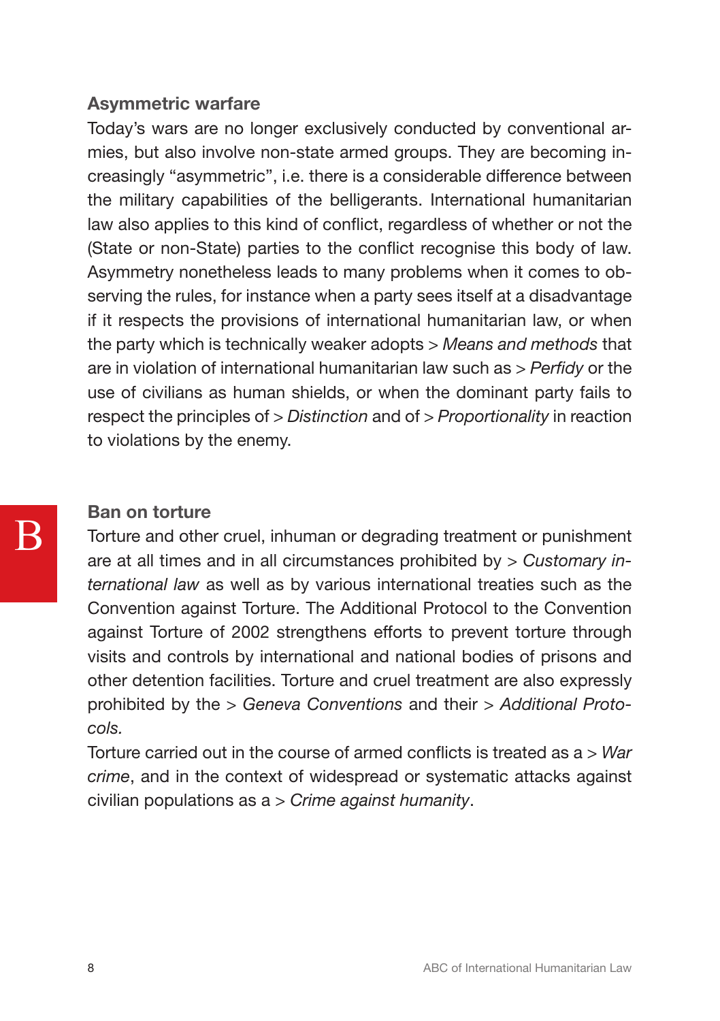# Asymmetric warfare

Today's wars are no longer exclusively conducted by conventional armies, but also involve non-state armed groups. They are becoming increasingly "asymmetric", i.e. there is a considerable difference between the military capabilities of the belligerants. International humanitarian law also applies to this kind of conflict, regardless of whether or not the (State or non-State) parties to the conflict recognise this body of law. Asymmetry nonetheless leads to many problems when it comes to observing the rules, for instance when a party sees itself at a disadvantage if it respects the provisions of international humanitarian law, or when the party which is technically weaker adopts *> Means and methods* that are in violation of international humanitarian law such as *> Perfidy* or the use of civilians as human shields, or when the dominant party fails to respect the principles of *> Distinction* and of *> Proportionality* in reaction to violations by the enemy.

# Ban on torture

B

Torture and other cruel, inhuman or degrading treatment or punishment are at all times and in all circumstances prohibited by *> Customary international law* as well as by various international treaties such as the Convention against Torture. The Additional Protocol to the Convention against Torture of 2002 strengthens efforts to prevent torture through visits and controls by international and national bodies of prisons and other detention facilities. Torture and cruel treatment are also expressly prohibited by the *> Geneva Conventions* and their *> Additional Protocols.*

Torture carried out in the course of armed conflicts is treated as a *> War crime*, and in the context of widespread or systematic attacks against civilian populations as a *> Crime against humanity*.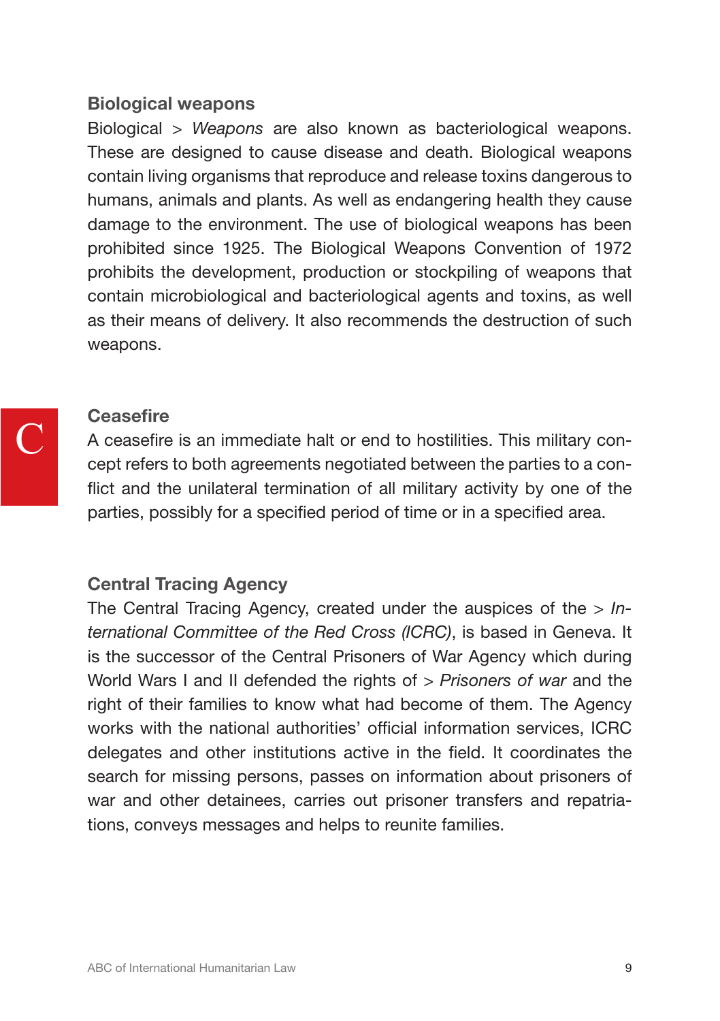## Biological weapons

Biological *> Weapons* are also known as bacteriological weapons. These are designed to cause disease and death. Biological weapons contain living organisms that reproduce and release toxins dangerous to humans, animals and plants. As well as endangering health they cause damage to the environment. The use of biological weapons has been prohibited since 1925. The Biological Weapons Convention of 1972 prohibits the development, production or stockpiling of weapons that contain microbiological and bacteriological agents and toxins, as well as their means of delivery. It also recommends the destruction of such weapons.

# C

# **Ceasefire**

A ceasefire is an immediate halt or end to hostilities. This military concept refers to both agreements negotiated between the parties to a conflict and the unilateral termination of all military activity by one of the parties, possibly for a specified period of time or in a specified area.

# Central Tracing Agency

The Central Tracing Agency, created under the auspices of the *> International Committee of the Red Cross (ICRC)*, is based in Geneva. It is the successor of the Central Prisoners of War Agency which during World Wars I and II defended the rights of *> Prisoners of war* and the right of their families to know what had become of them. The Agency works with the national authorities' official information services, ICRC delegates and other institutions active in the field. It coordinates the search for missing persons, passes on information about prisoners of war and other detainees, carries out prisoner transfers and repatriations, conveys messages and helps to reunite families.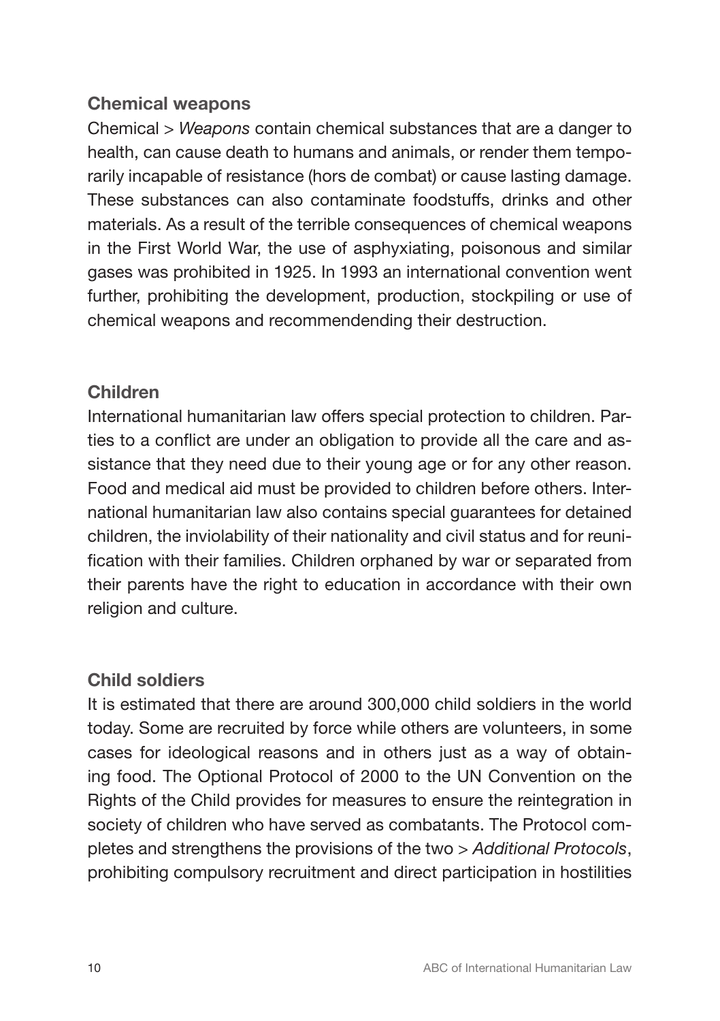# Chemical weapons

Chemical *> Weapons* contain chemical substances that are a danger to health, can cause death to humans and animals, or render them temporarily incapable of resistance (hors de combat) or cause lasting damage. These substances can also contaminate foodstuffs, drinks and other materials. As a result of the terrible consequences of chemical weapons in the First World War, the use of asphyxiating, poisonous and similar gases was prohibited in 1925. In 1993 an international convention went further, prohibiting the development, production, stockpiling or use of chemical weapons and recommendending their destruction.

# Children

International humanitarian law offers special protection to children. Parties to a conflict are under an obligation to provide all the care and assistance that they need due to their young age or for any other reason. Food and medical aid must be provided to children before others. International humanitarian law also contains special guarantees for detained children, the inviolability of their nationality and civil status and for reunification with their families. Children orphaned by war or separated from their parents have the right to education in accordance with their own religion and culture.

# Child soldiers

It is estimated that there are around 300,000 child soldiers in the world today. Some are recruited by force while others are volunteers, in some cases for ideological reasons and in others just as a way of obtaining food. The Optional Protocol of 2000 to the UN Convention on the Rights of the Child provides for measures to ensure the reintegration in society of children who have served as combatants. The Protocol completes and strengthens the provisions of the two *> Additional Protocols*, prohibiting compulsory recruitment and direct participation in hostilities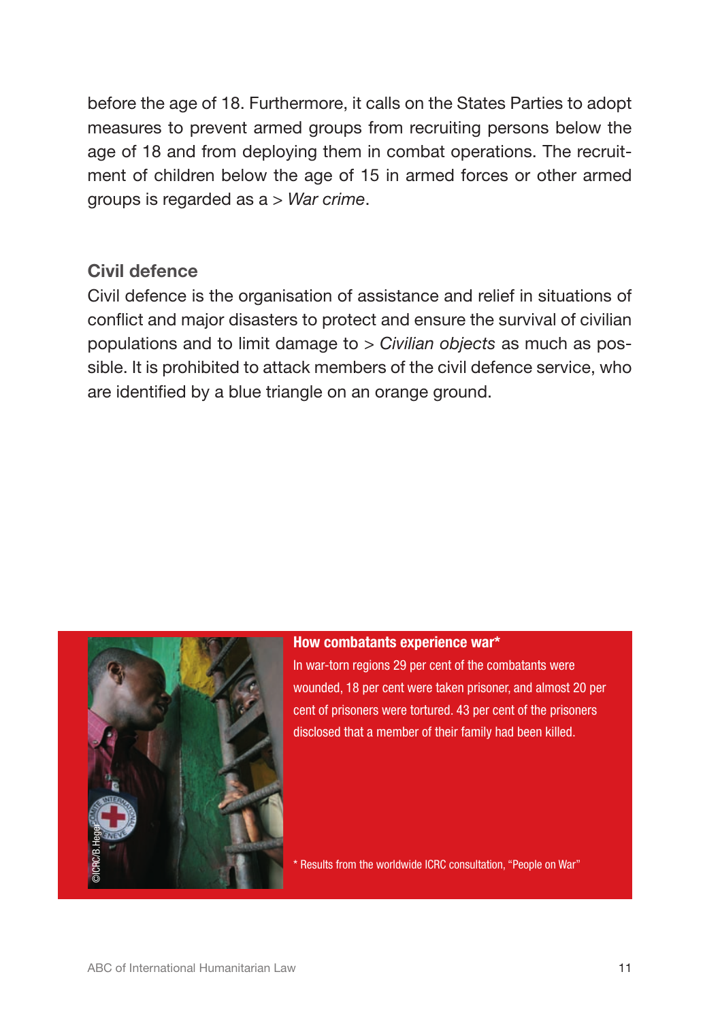before the age of 18. Furthermore, it calls on the States Parties to adopt measures to prevent armed groups from recruiting persons below the age of 18 and from deploying them in combat operations. The recruitment of children below the age of 15 in armed forces or other armed groups is regarded as a *> War crime*.

# Civil defence

Civil defence is the organisation of assistance and relief in situations of conflict and major disasters to protect and ensure the survival of civilian populations and to limit damage to *> Civilian objects* as much as possible. It is prohibited to attack members of the civil defence service, who are identified by a blue triangle on an orange ground.



### How combatants experience war\*

In war-torn regions 29 per cent of the combatants were wounded, 18 per cent were taken prisoner, and almost 20 per cent of prisoners were tortured. 43 per cent of the prisoners disclosed that a member of their family had been killed.

\* Results from the worldwide ICRC consultation, "People on War"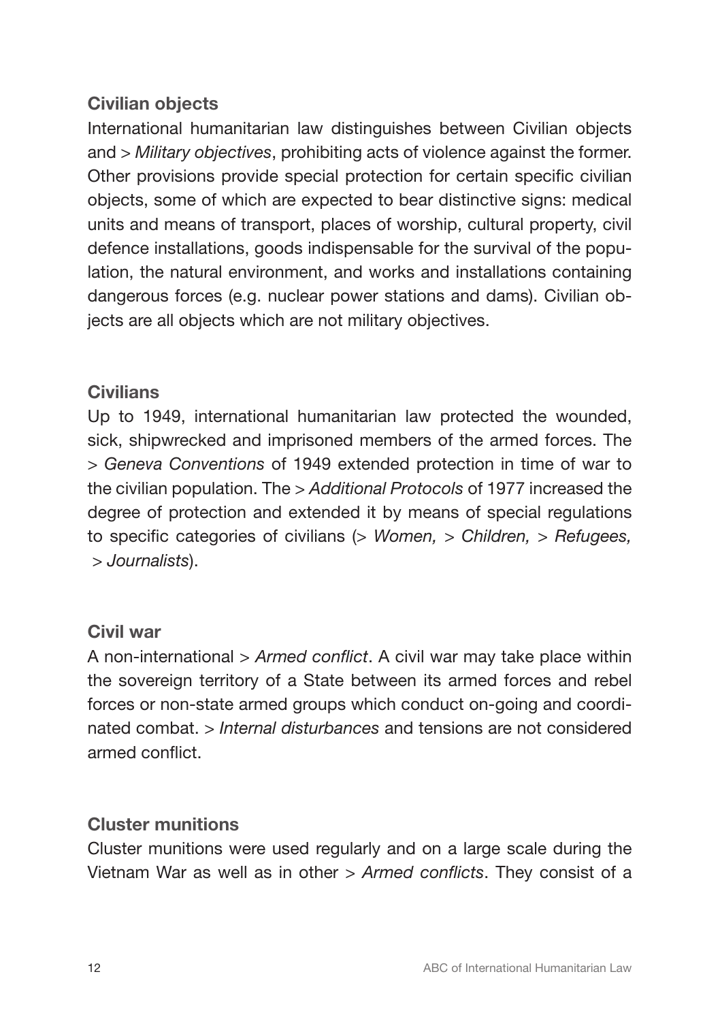# Civilian objects

International humanitarian law distinguishes between Civilian objects and *> Military objectives*, prohibiting acts of violence against the former. Other provisions provide special protection for certain specific civilian objects, some of which are expected to bear distinctive signs: medical units and means of transport, places of worship, cultural property, civil defence installations, goods indispensable for the survival of the population, the natural environment, and works and installations containing dangerous forces (e.g. nuclear power stations and dams). Civilian objects are all objects which are not military objectives.

# **Civilians**

Up to 1949, international humanitarian law protected the wounded, sick, shipwrecked and imprisoned members of the armed forces. The *> Geneva Conventions* of 1949 extended protection in time of war to the civilian population. The *> Additional Protocols* of 1977 increased the degree of protection and extended it by means of special regulations to specific categories of civilians (*> Women, > Children, > Refugees, > Journalists*).

# Civil war

A non-international *> Armed conflict*. A civil war may take place within the sovereign territory of a State between its armed forces and rebel forces or non-state armed groups which conduct on-going and coordinated combat. *> Internal disturbances* and tensions are not considered armed conflict.

# Cluster munitions

Cluster munitions were used regularly and on a large scale during the Vietnam War as well as in other *> Armed conflicts*. They consist of a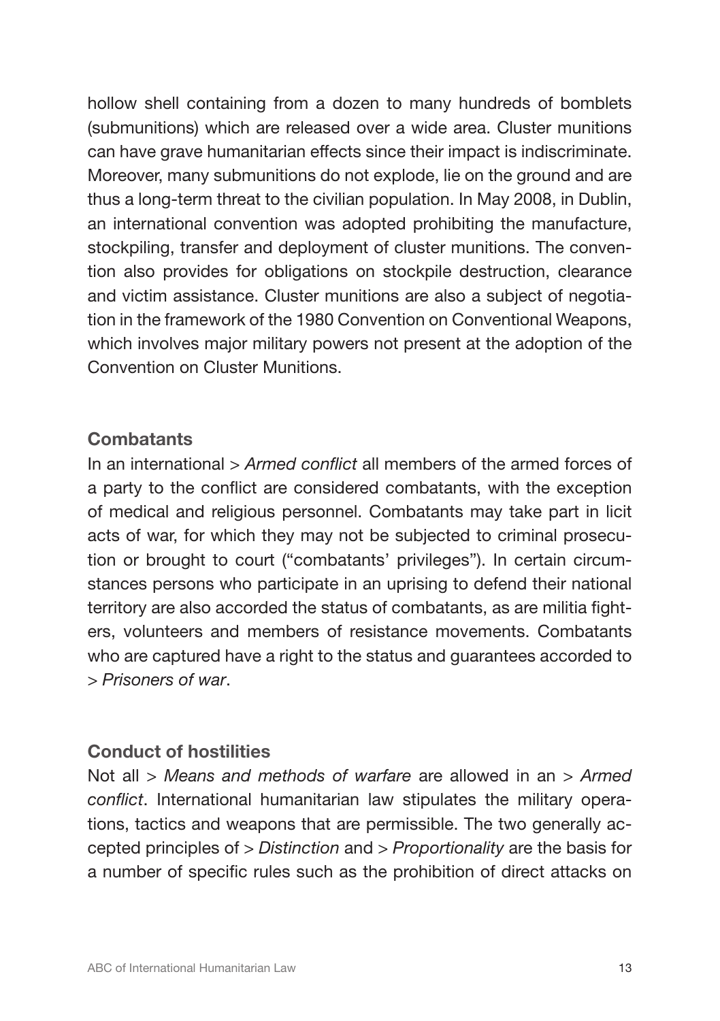hollow shell containing from a dozen to many hundreds of bomblets (submunitions) which are released over a wide area. Cluster munitions can have grave humanitarian effects since their impact is indiscriminate. Moreover, many submunitions do not explode, lie on the ground and are thus a long-term threat to the civilian population. In May 2008, in Dublin, an international convention was adopted prohibiting the manufacture, stockpiling, transfer and deployment of cluster munitions. The convention also provides for obligations on stockpile destruction, clearance and victim assistance. Cluster munitions are also a subject of negotiation in the framework of the 1980 Convention on Conventional Weapons, which involves major military powers not present at the adoption of the Convention on Cluster Munitions.

# **Combatants**

In an international *> Armed conflict* all members of the armed forces of a party to the conflict are considered combatants, with the exception of medical and religious personnel. Combatants may take part in licit acts of war, for which they may not be subjected to criminal prosecution or brought to court ("combatants' privileges"). In certain circumstances persons who participate in an uprising to defend their national territory are also accorded the status of combatants, as are militia fighters, volunteers and members of resistance movements. Combatants who are captured have a right to the status and guarantees accorded to *> Prisoners of war*.

# Conduct of hostilities

Not all *> Means and methods of warfare* are allowed in an *> Armed conflict*. International humanitarian law stipulates the military operations, tactics and weapons that are permissible. The two generally accepted principles of *> Distinction* and *> Proportionality* are the basis for a number of specific rules such as the prohibition of direct attacks on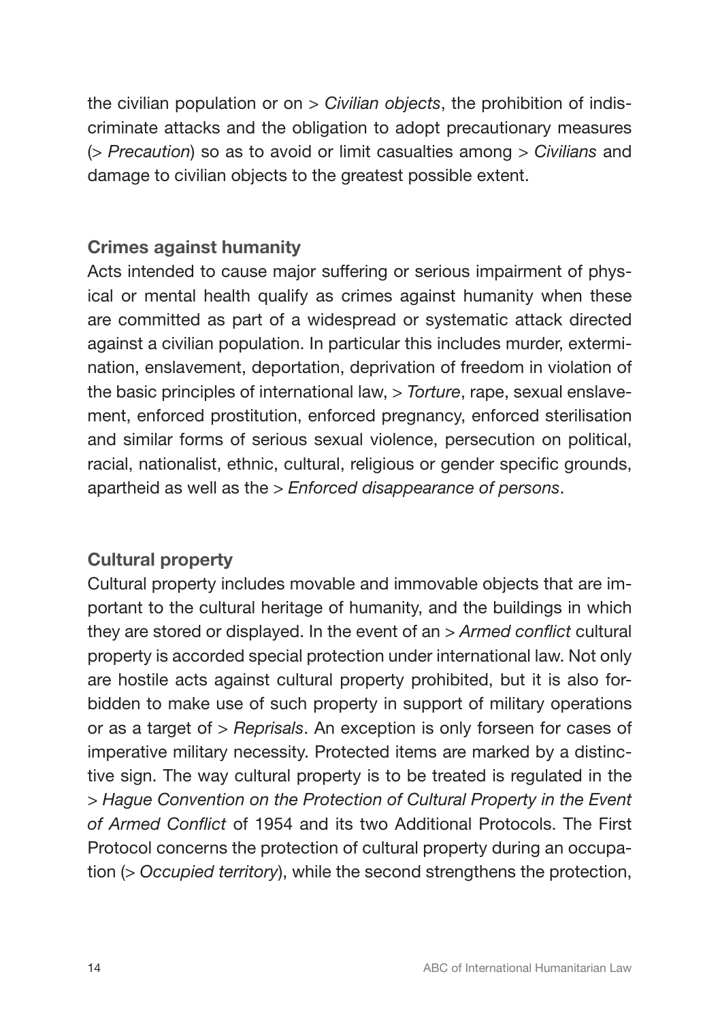the civilian population or on *> Civilian objects*, the prohibition of indiscriminate attacks and the obligation to adopt precautionary measures (*> Precaution*) so as to avoid or limit casualties among *> Civilians* and damage to civilian objects to the greatest possible extent.

# Crimes against humanity

Acts intended to cause major suffering or serious impairment of physical or mental health qualify as crimes against humanity when these are committed as part of a widespread or systematic attack directed against a civilian population. In particular this includes murder, extermination, enslavement, deportation, deprivation of freedom in violation of the basic principles of international law, *> Torture*, rape, sexual enslavement, enforced prostitution, enforced pregnancy, enforced sterilisation and similar forms of serious sexual violence, persecution on political, racial, nationalist, ethnic, cultural, religious or gender specific grounds, apartheid as well as the *> Enforced disappearance of persons*.

# Cultural property

Cultural property includes movable and immovable objects that are important to the cultural heritage of humanity, and the buildings in which they are stored or displayed. In the event of an *> Armed conflict* cultural property is accorded special protection under international law. Not only are hostile acts against cultural property prohibited, but it is also forbidden to make use of such property in support of military operations or as a target of *> Reprisals*. An exception is only forseen for cases of imperative military necessity. Protected items are marked by a distinctive sign. The way cultural property is to be treated is regulated in the *> Hague Convention on the Protection of Cultural Property in the Event of Armed Conflict* of 1954 and its two Additional Protocols. The First Protocol concerns the protection of cultural property during an occupation (*> Occupied territory*), while the second strengthens the protection,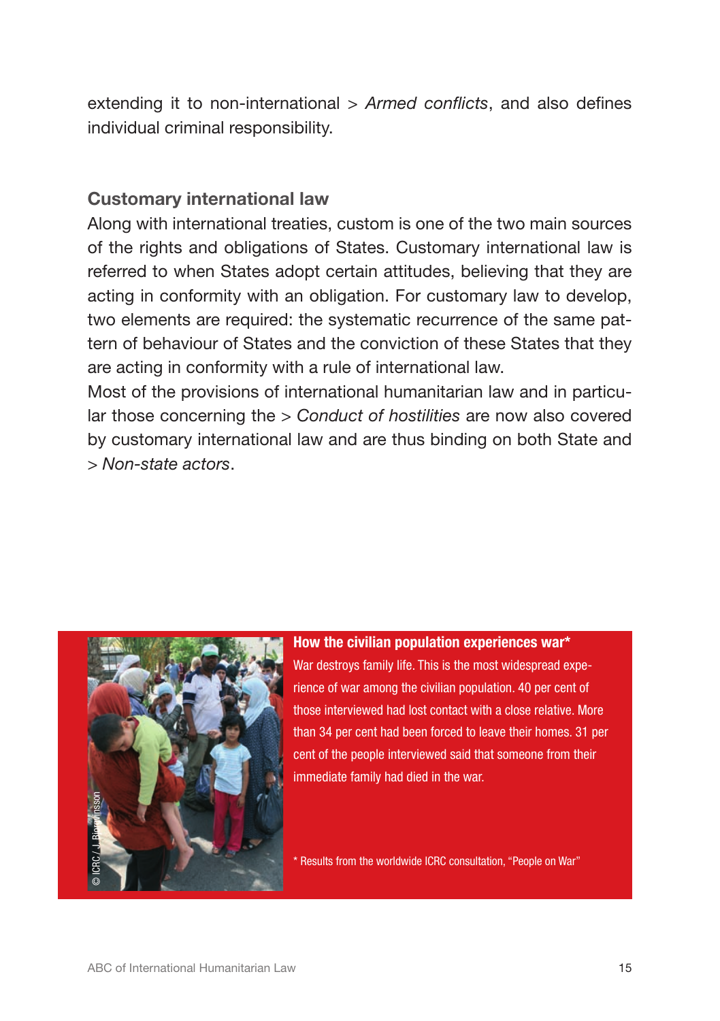extending it to non-international *> Armed conflicts*, and also defines individual criminal responsibility.

# Customary international law

Along with international treaties, custom is one of the two main sources of the rights and obligations of States. Customary international law is referred to when States adopt certain attitudes, believing that they are acting in conformity with an obligation. For customary law to develop, two elements are required: the systematic recurrence of the same pattern of behaviour of States and the conviction of these States that they are acting in conformity with a rule of international law.

Most of the provisions of international humanitarian law and in particular those concerning the *> Conduct of hostilities* are now also covered by customary international law and are thus binding on both State and *> Non-state actors*.



How the civilian population experiences war\* War destroys family life. This is the most widespread experience of war among the civilian population. 40 per cent of those interviewed had lost contact with a close relative. More than 34 per cent had been forced to leave their homes. 31 per cent of the people interviewed said that someone from their immediate family had died in the war.

\* Results from the worldwide ICRC consultation, "People on War"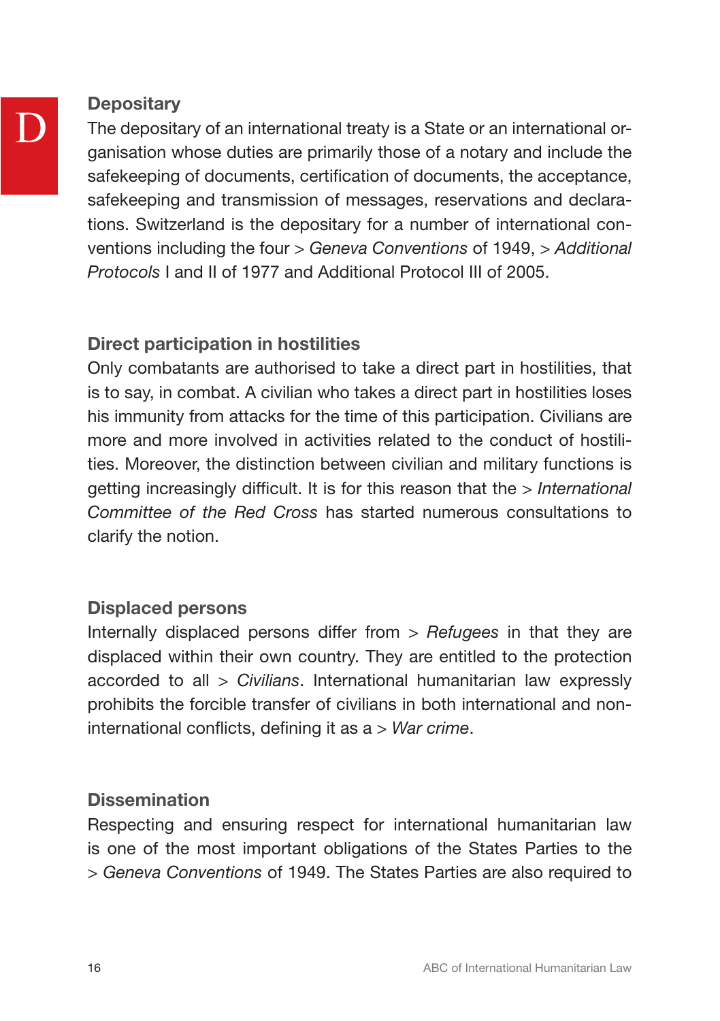

# **Depositary**

The depositary of an international treaty is a State or an international organisation whose duties are primarily those of a notary and include the safekeeping of documents, certification of documents, the acceptance, safekeeping and transmission of messages, reservations and declarations. Switzerland is the depositary for a number of international conventions including the four *> Geneva Conventions* of 1949, *> Additional Protocols* I and II of 1977 and Additional Protocol III of 2005.

# Direct participation in hostilities

Only combatants are authorised to take a direct part in hostilities, that is to say, in combat. A civilian who takes a direct part in hostilities loses his immunity from attacks for the time of this participation. Civilians are more and more involved in activities related to the conduct of hostilities. Moreover, the distinction between civilian and military functions is getting increasingly difficult. It is for this reason that the *> International Committee of the Red Cross* has started numerous consultations to clarify the notion.

# Displaced persons

Internally displaced persons differ from *> Refugees* in that they are displaced within their own country. They are entitled to the protection accorded to all *> Civilians*. International humanitarian law expressly prohibits the forcible transfer of civilians in both international and noninternational conflicts, defining it as a *> War crime*.

# **Dissemination**

Respecting and ensuring respect for international humanitarian law is one of the most important obligations of the States Parties to the *> Geneva Conventions* of 1949. The States Parties are also required to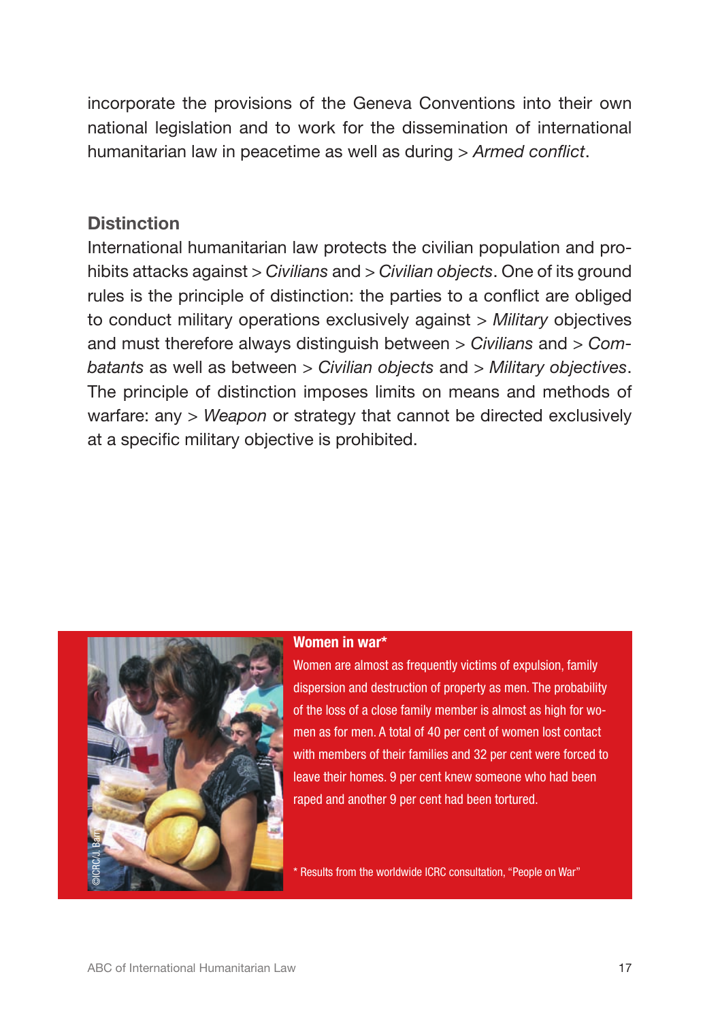incorporate the provisions of the Geneva Conventions into their own national legislation and to work for the dissemination of international humanitarian law in peacetime as well as during *> Armed conflict*.

# **Distinction**

International humanitarian law protects the civilian population and prohibits attacks against *> Civilians* and *> Civilian objects*. One of its ground rules is the principle of distinction: the parties to a conflict are obliged to conduct military operations exclusively against *> Military* objectives and must therefore always distinguish between *> Civilians* and *> Combatants* as well as between *> Civilian objects* and *> Military objectives*. The principle of distinction imposes limits on means and methods of warfare: any *> Weapon* or strategy that cannot be directed exclusively at a specific military objective is prohibited.



### Women in war\*

Women are almost as frequently victims of expulsion, family dispersion and destruction of property as men. The probability of the loss of a close family member is almost as high for women as for men. A total of 40 per cent of women lost contact with members of their families and 32 per cent were forced to leave their homes. 9 per cent knew someone who had been raped and another 9 per cent had been tortured.

\* Results from the worldwide ICRC consultation, "People on War"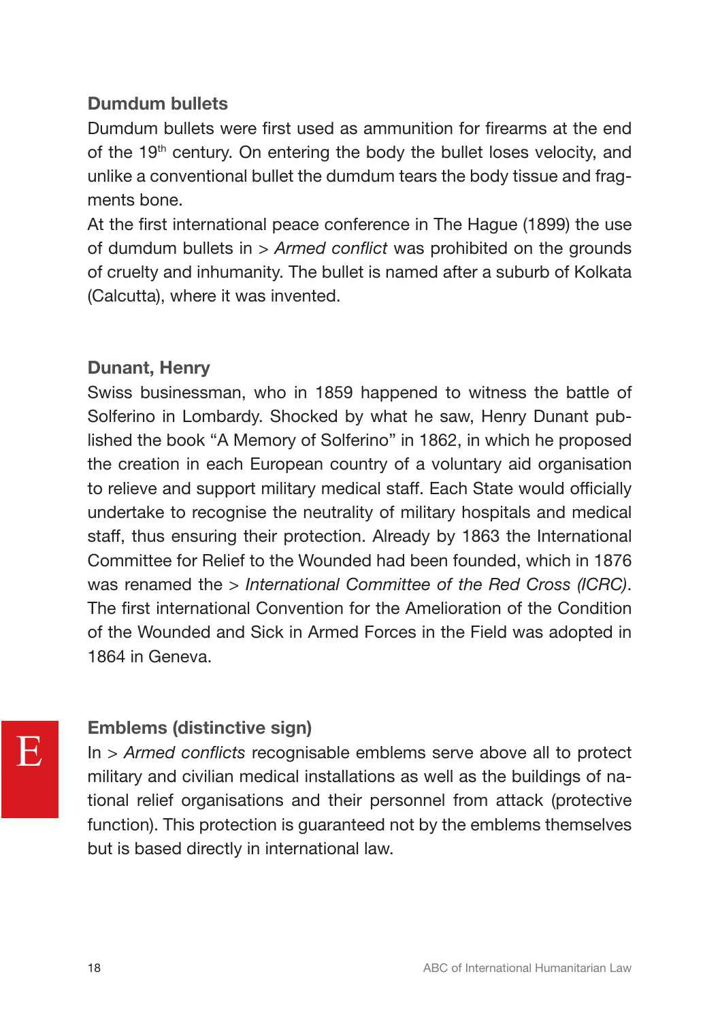# Dumdum bullets

Dumdum bullets were first used as ammunition for firearms at the end of the 19<sup>th</sup> century. On entering the body the bullet loses velocity, and unlike a conventional bullet the dumdum tears the body tissue and fragments bone.

At the first international peace conference in The Hague (1899) the use of dumdum bullets in *> Armed conflict* was prohibited on the grounds of cruelty and inhumanity. The bullet is named after a suburb of Kolkata (Calcutta), where it was invented.

# Dunant, Henry

Swiss businessman, who in 1859 happened to witness the battle of Solferino in Lombardy. Shocked by what he saw, Henry Dunant published the book "A Memory of Solferino" in 1862, in which he proposed the creation in each European country of a voluntary aid organisation to relieve and support military medical staff. Each State would officially undertake to recognise the neutrality of military hospitals and medical staff, thus ensuring their protection. Already by 1863 the International Committee for Relief to the Wounded had been founded, which in 1876 was renamed the *> International Committee of the Red Cross (ICRC)*. The first international Convention for the Amelioration of the Condition of the Wounded and Sick in Armed Forces in the Field was adopted in 1864 in Geneva.

# Emblems (distinctive sign)

In *> Armed conflicts* recognisable emblems serve above all to protect military and civilian medical installations as well as the buildings of national relief organisations and their personnel from attack (protective function). This protection is guaranteed not by the emblems themselves but is based directly in international law.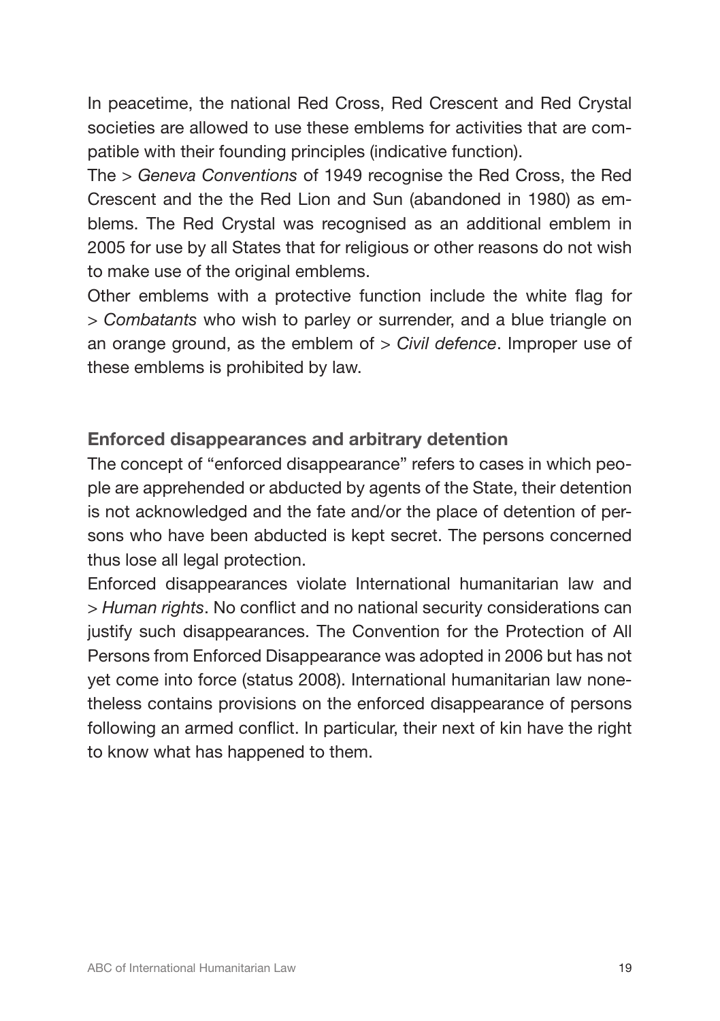In peacetime, the national Red Cross, Red Crescent and Red Crystal societies are allowed to use these emblems for activities that are compatible with their founding principles (indicative function).

The *> Geneva Conventions* of 1949 recognise the Red Cross, the Red Crescent and the the Red Lion and Sun (abandoned in 1980) as emblems. The Red Crystal was recognised as an additional emblem in 2005 for use by all States that for religious or other reasons do not wish to make use of the original emblems.

Other emblems with a protective function include the white flag for *> Combatants* who wish to parley or surrender, and a blue triangle on an orange ground, as the emblem of *> Civil defence*. Improper use of these emblems is prohibited by law.

# Enforced disappearances and arbitrary detention

The concept of "enforced disappearance" refers to cases in which people are apprehended or abducted by agents of the State, their detention is not acknowledged and the fate and/or the place of detention of persons who have been abducted is kept secret. The persons concerned thus lose all legal protection.

Enforced disappearances violate International humanitarian law and *> Human rights*. No conflict and no national security considerations can justify such disappearances. The Convention for the Protection of All Persons from Enforced Disappearance was adopted in 2006 but has not yet come into force (status 2008). International humanitarian law nonetheless contains provisions on the enforced disappearance of persons following an armed conflict. In particular, their next of kin have the right to know what has happened to them.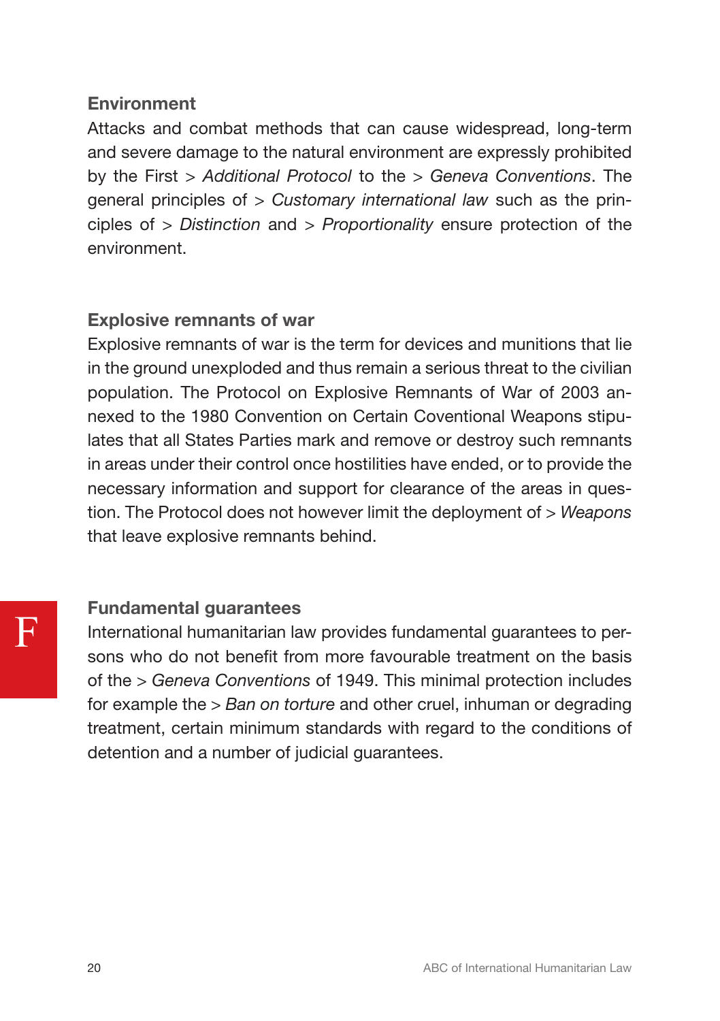# **Environment**

Attacks and combat methods that can cause widespread, long-term and severe damage to the natural environment are expressly prohibited by the First *> Additional Protocol* to the *> Geneva Conventions*. The general principles of *> Customary international law* such as the principles of *> Distinction* and *> Proportionality* ensure protection of the environment.

# Explosive remnants of war

Explosive remnants of war is the term for devices and munitions that lie in the ground unexploded and thus remain a serious threat to the civilian population. The Protocol on Explosive Remnants of War of 2003 annexed to the 1980 Convention on Certain Coventional Weapons stipulates that all States Parties mark and remove or destroy such remnants in areas under their control once hostilities have ended, or to provide the necessary information and support for clearance of the areas in question. The Protocol does not however limit the deployment of *> Weapons*  that leave explosive remnants behind.

# Fundamental guarantees

International humanitarian law provides fundamental guarantees to persons who do not benefit from more favourable treatment on the basis of the *> Geneva Conventions* of 1949. This minimal protection includes for example the *> Ban on torture* and other cruel, inhuman or degrading treatment, certain minimum standards with regard to the conditions of detention and a number of judicial guarantees.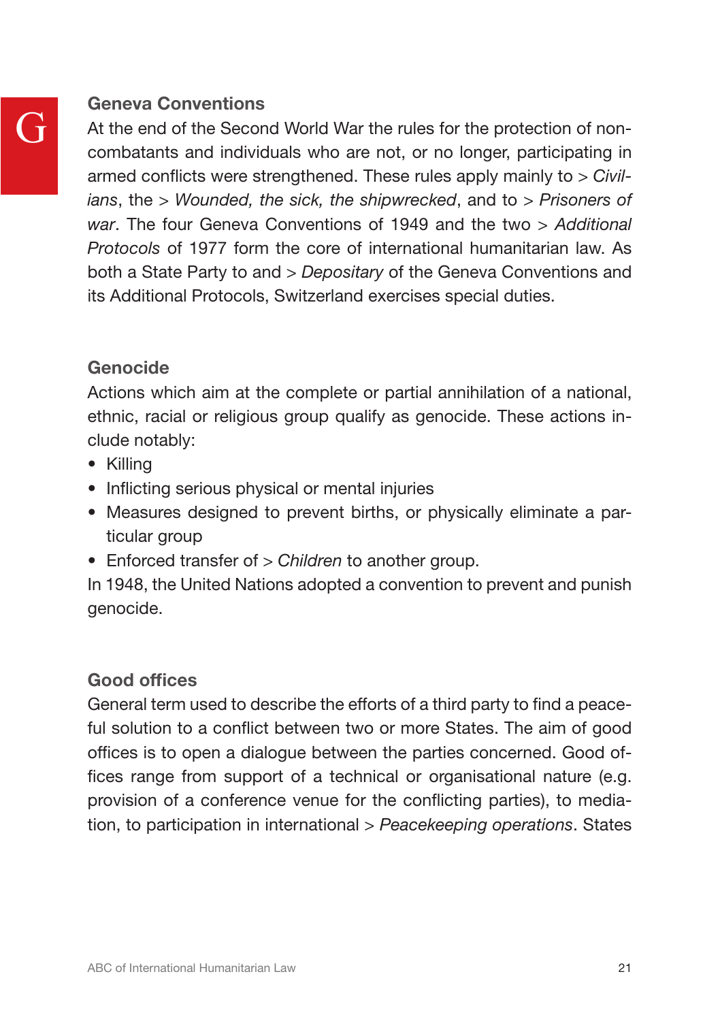# G

# Geneva Conventions

At the end of the Second World War the rules for the protection of noncombatants and individuals who are not, or no longer, participating in armed conflicts were strengthened. These rules apply mainly to *> Civilians*, the *> Wounded, the sick, the shipwrecked*, and to *> Prisoners of war*. The four Geneva Conventions of 1949 and the two *> Additional Protocols* of 1977 form the core of international humanitarian law. As both a State Party to and *> Depositary* of the Geneva Conventions and its Additional Protocols, Switzerland exercises special duties.

# Genocide

Actions which aim at the complete or partial annihilation of a national, ethnic, racial or religious group qualify as genocide. These actions include notably:

- Killing
- Inflicting serious physical or mental injuries
- Measures designed to prevent births, or physically eliminate a particular group
- Enforced transfer of *> Children* to another group.

In 1948, the United Nations adopted a convention to prevent and punish genocide.

# Good offices

General term used to describe the efforts of a third party to find a peaceful solution to a conflict between two or more States. The aim of good offices is to open a dialogue between the parties concerned. Good offices range from support of a technical or organisational nature (e.g. provision of a conference venue for the conflicting parties), to mediation, to participation in international *> Peacekeeping operations*. States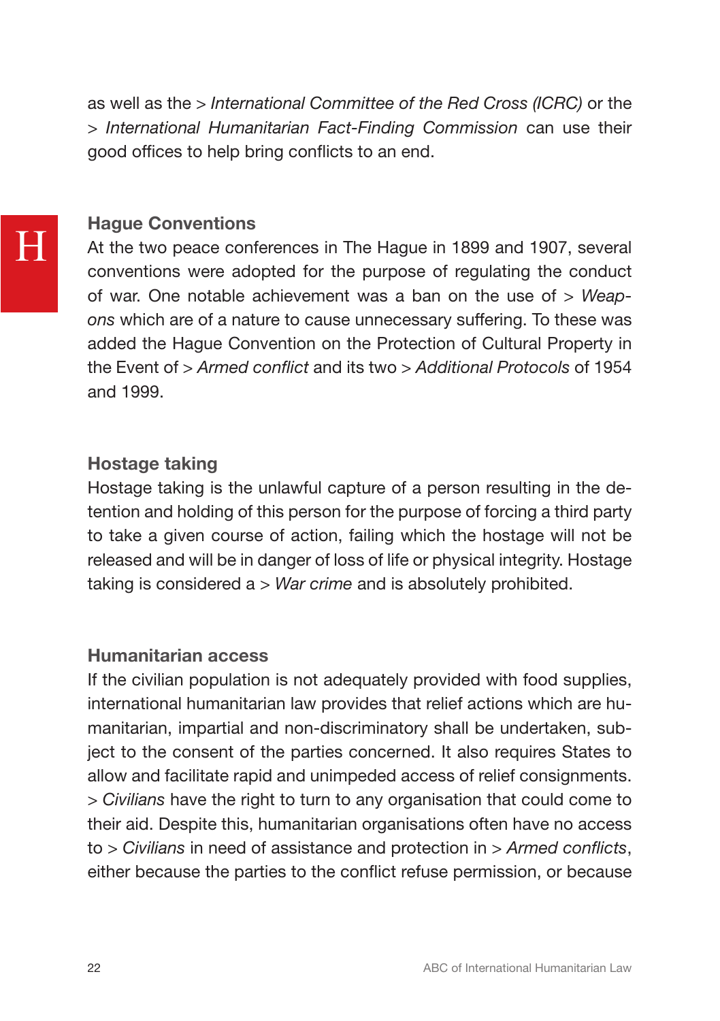as well as the *> International Committee of the Red Cross (ICRC)* or the *> International Humanitarian Fact-Finding Commission* can use their good offices to help bring conflicts to an end.

# Hague Conventions

At the two peace conferences in The Hague in 1899 and 1907, several conventions were adopted for the purpose of regulating the conduct of war. One notable achievement was a ban on the use of *> Weapons* which are of a nature to cause unnecessary suffering. To these was added the Hague Convention on the Protection of Cultural Property in the Event of *> Armed conflict* and its two *> Additional Protocols* of 1954 and 1999.

# Hostage taking

Hostage taking is the unlawful capture of a person resulting in the detention and holding of this person for the purpose of forcing a third party to take a given course of action, failing which the hostage will not be released and will be in danger of loss of life or physical integrity. Hostage taking is considered a *> War crime* and is absolutely prohibited.

# Humanitarian access

If the civilian population is not adequately provided with food supplies, international humanitarian law provides that relief actions which are humanitarian, impartial and non-discriminatory shall be undertaken, subject to the consent of the parties concerned. It also requires States to allow and facilitate rapid and unimpeded access of relief consignments. *> Civilians* have the right to turn to any organisation that could come to their aid. Despite this, humanitarian organisations often have no access to *> Civilians* in need of assistance and protection in *> Armed conflicts*, either because the parties to the conflict refuse permission, or because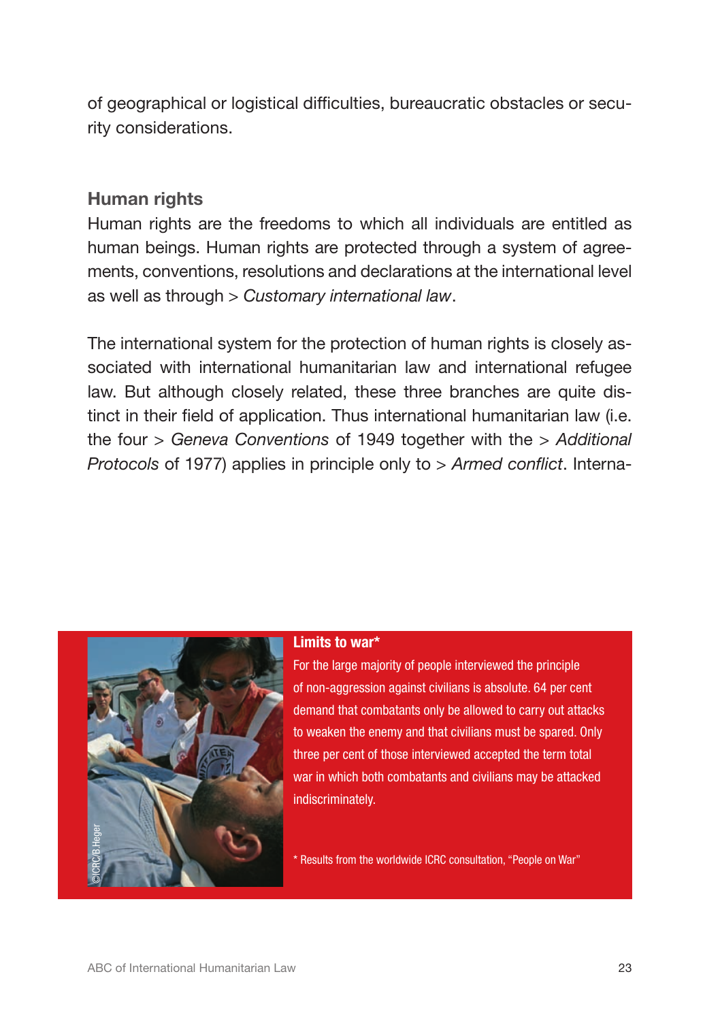of geographical or logistical difficulties, bureaucratic obstacles or security considerations.

# Human rights

Human rights are the freedoms to which all individuals are entitled as human beings. Human rights are protected through a system of agreements, conventions, resolutions and declarations at the international level as well as through *> Customary international law*.

The international system for the protection of human rights is closely associated with international humanitarian law and international refugee law. But although closely related, these three branches are quite distinct in their field of application. Thus international humanitarian law (i.e. the four *> Geneva Conventions* of 1949 together with the *> Additional Protocols* of 1977) applies in principle only to *> Armed conflict*. Interna-



### Limits to war\*

For the large majority of people interviewed the principle of non-aggression against civilians is absolute. 64 per cent demand that combatants only be allowed to carry out attacks to weaken the enemy and that civilians must be spared. Only three per cent of those interviewed accepted the term total war in which both combatants and civilians may be attacked indiscriminately.

\* Results from the worldwide ICRC consultation, "People on War"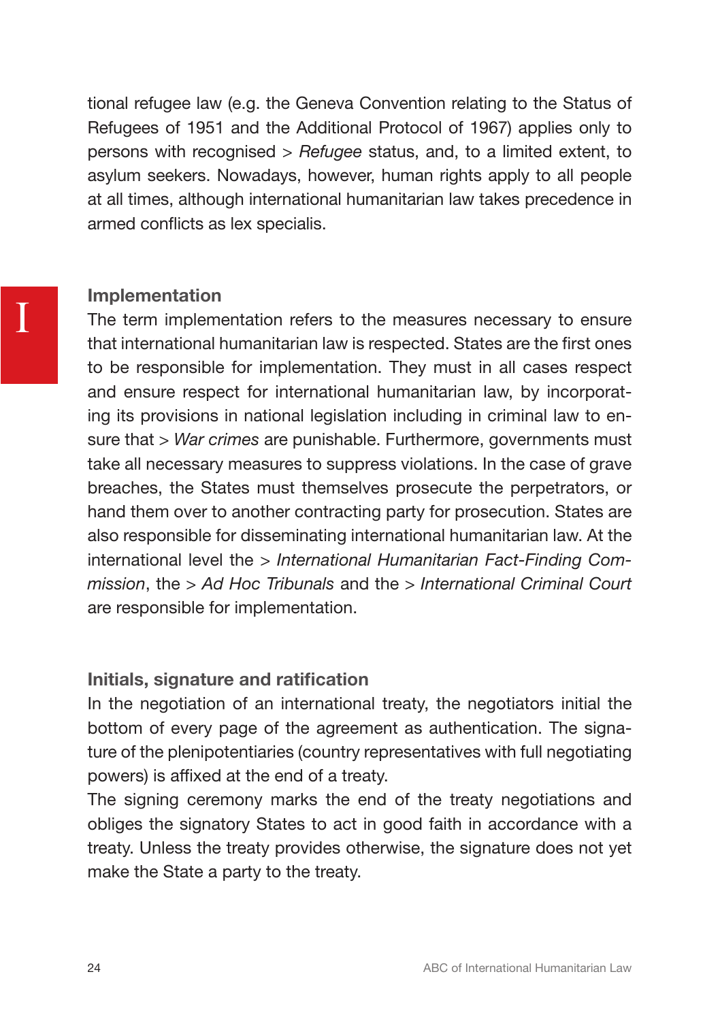tional refugee law (e.g. the Geneva Convention relating to the Status of Refugees of 1951 and the Additional Protocol of 1967) applies only to persons with recognised *> Refugee* status, and, to a limited extent, to asylum seekers. Nowadays, however, human rights apply to all people at all times, although international humanitarian law takes precedence in armed conflicts as lex specialis.

## Implementation

The term implementation refers to the measures necessary to ensure that international humanitarian law is respected. States are the first ones to be responsible for implementation. They must in all cases respect and ensure respect for international humanitarian law, by incorporating its provisions in national legislation including in criminal law to ensure that *> War crimes* are punishable. Furthermore, governments must take all necessary measures to suppress violations. In the case of grave breaches, the States must themselves prosecute the perpetrators, or hand them over to another contracting party for prosecution. States are also responsible for disseminating international humanitarian law. At the international level the *> International Humanitarian Fact-Finding Commission*, the *> Ad Hoc Tribunals* and the *> International Criminal Court*  are responsible for implementation.

## Initials, signature and ratification

In the negotiation of an international treaty, the negotiators initial the bottom of every page of the agreement as authentication. The signature of the plenipotentiaries (country representatives with full negotiating powers) is affixed at the end of a treaty.

The signing ceremony marks the end of the treaty negotiations and obliges the signatory States to act in good faith in accordance with a treaty. Unless the treaty provides otherwise, the signature does not yet make the State a party to the treaty.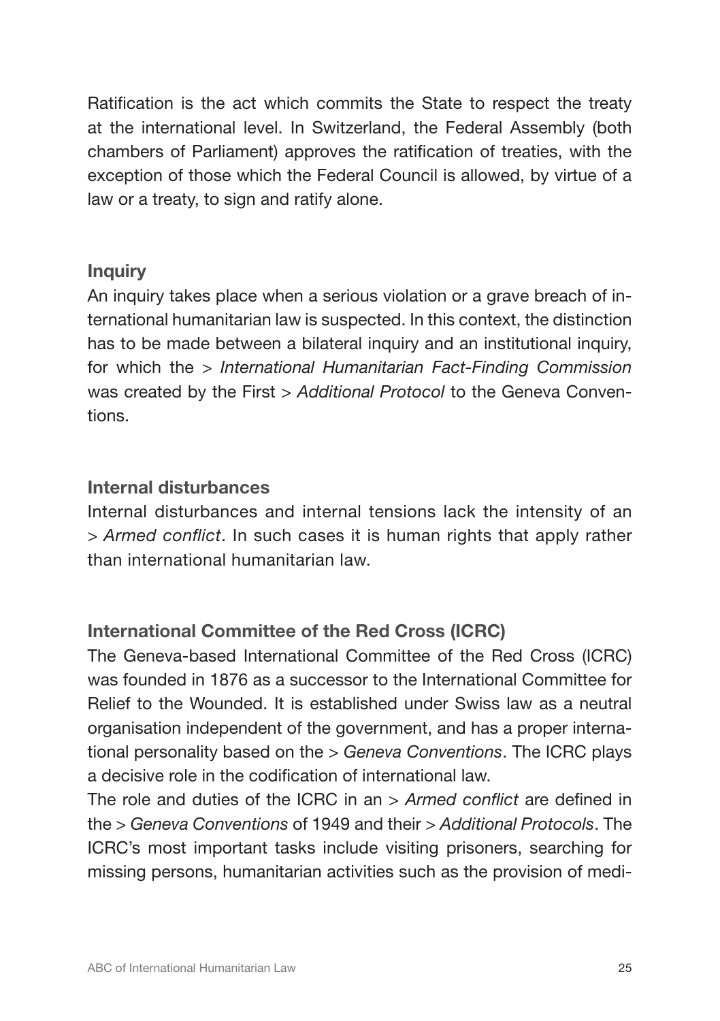Ratification is the act which commits the State to respect the treaty at the international level. In Switzerland, the Federal Assembly (both chambers of Parliament) approves the ratification of treaties, with the exception of those which the Federal Council is allowed, by virtue of a law or a treaty, to sign and ratify alone.

# **Inquiry**

An inquiry takes place when a serious violation or a grave breach of international humanitarian law is suspected. In this context, the distinction has to be made between a bilateral inquiry and an institutional inquiry, for which the *> International Humanitarian Fact-Finding Commission* was created by the First *> Additional Protocol* to the Geneva Conventions.

# Internal disturbances

Internal disturbances and internal tensions lack the intensity of an *> Armed conflict*. In such cases it is human rights that apply rather than international humanitarian law.

# International Committee of the Red Cross (ICRC)

The Geneva-based International Committee of the Red Cross (ICRC) was founded in 1876 as a successor to the International Committee for Relief to the Wounded. It is established under Swiss law as a neutral organisation independent of the government, and has a proper international personality based on the *> Geneva Conventions*. The ICRC plays a decisive role in the codification of international law.

The role and duties of the ICRC in an *> Armed conflict* are defined in the *> Geneva Conventions* of 1949 and their *> Additional Protocols*. The ICRC's most important tasks include visiting prisoners, searching for missing persons, humanitarian activities such as the provision of medi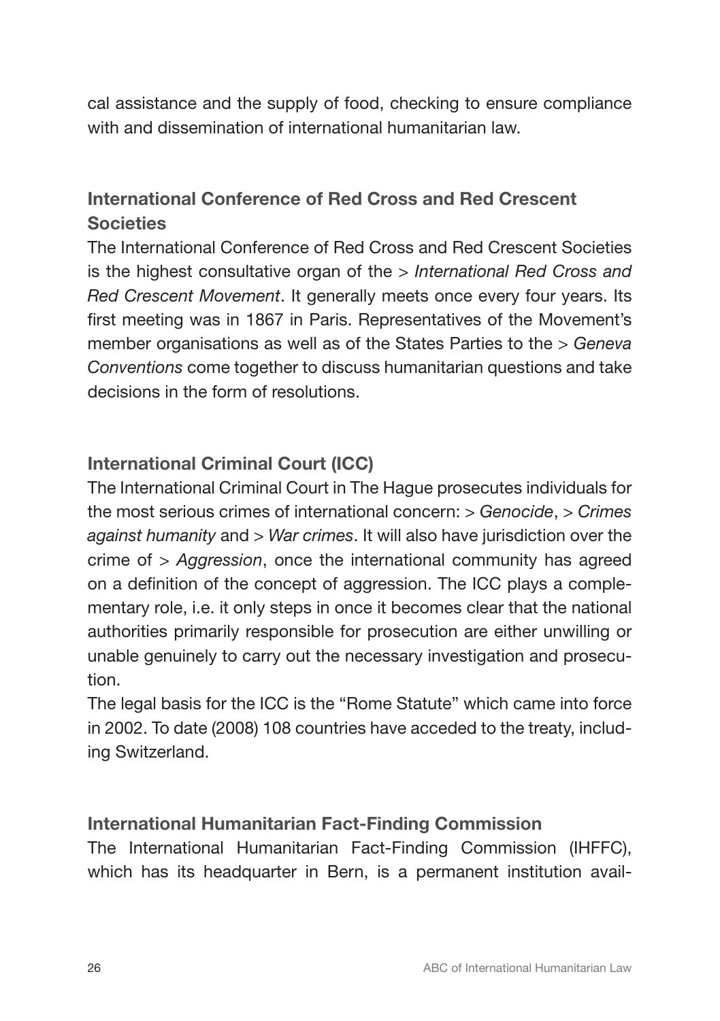cal assistance and the supply of food, checking to ensure compliance with and dissemination of international humanitarian law

# International Conference of Red Cross and Red Crescent **Societies**

The International Conference of Red Cross and Red Crescent Societies is the highest consultative organ of the *> International Red Cross and Red Crescent Movement*. It generally meets once every four years. Its first meeting was in 1867 in Paris. Representatives of the Movement's member organisations as well as of the States Parties to the *> Geneva Conventions* come together to discuss humanitarian questions and take decisions in the form of resolutions.

# International Criminal Court (ICC)

The International Criminal Court in The Hague prosecutes individuals for the most serious crimes of international concern: *> Genocide*, *> Crimes against humanity* and *> War crimes*. It will also have jurisdiction over the crime of *> Aggression*, once the international community has agreed on a definition of the concept of aggression. The ICC plays a complementary role, i.e. it only steps in once it becomes clear that the national authorities primarily responsible for prosecution are either unwilling or unable genuinely to carry out the necessary investigation and prosecution.

The legal basis for the ICC is the "Rome Statute" which came into force in 2002. To date (2008) 108 countries have acceded to the treaty, including Switzerland.

# International Humanitarian Fact-Finding Commission

The International Humanitarian Fact-Finding Commission (IHFFC), which has its headquarter in Bern, is a permanent institution avail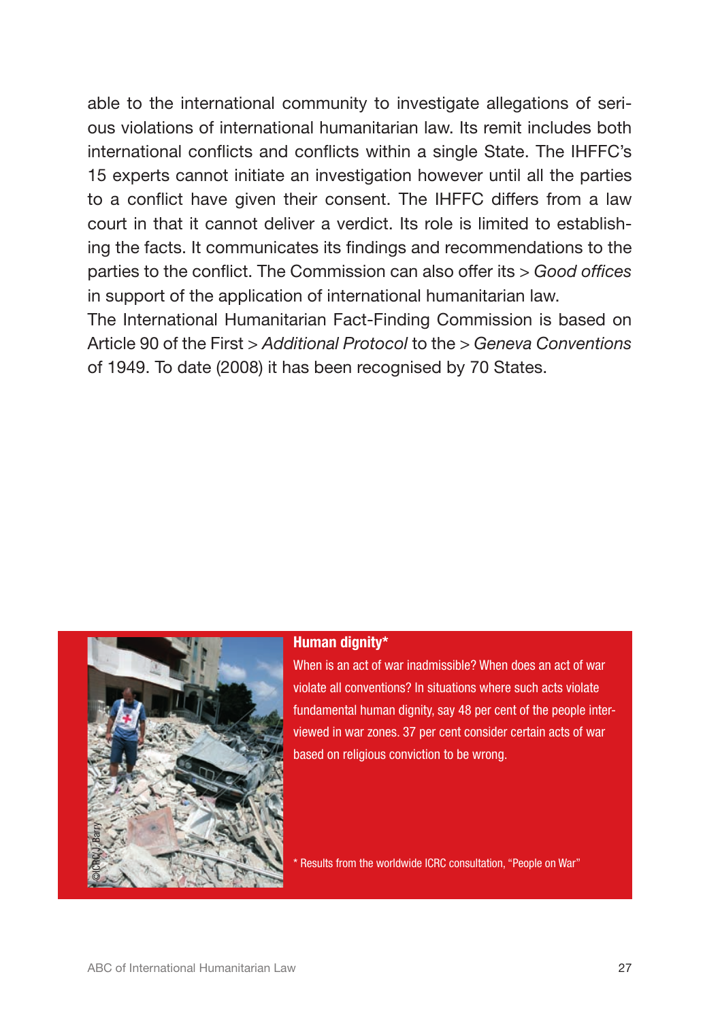able to the international community to investigate allegations of serious violations of international humanitarian law. Its remit includes both international conflicts and conflicts within a single State. The IHFFC's 15 experts cannot initiate an investigation however until all the parties to a conflict have given their consent. The IHFFC differs from a law court in that it cannot deliver a verdict. Its role is limited to establishing the facts. It communicates its findings and recommendations to the parties to the conflict. The Commission can also offer its *> Good offices* in support of the application of international humanitarian law.

The International Humanitarian Fact-Finding Commission is based on Article 90 of the First *> Additional Protocol* to the *> Geneva Conventions* of 1949. To date (2008) it has been recognised by 70 States.



### Human dignity\*

When is an act of war inadmissible? When does an act of war violate all conventions? In situations where such acts violate fundamental human dignity, say 48 per cent of the people interviewed in war zones. 37 per cent consider certain acts of war based on religious conviction to be wrong.

\* Results from the worldwide ICRC consultation, "People on War"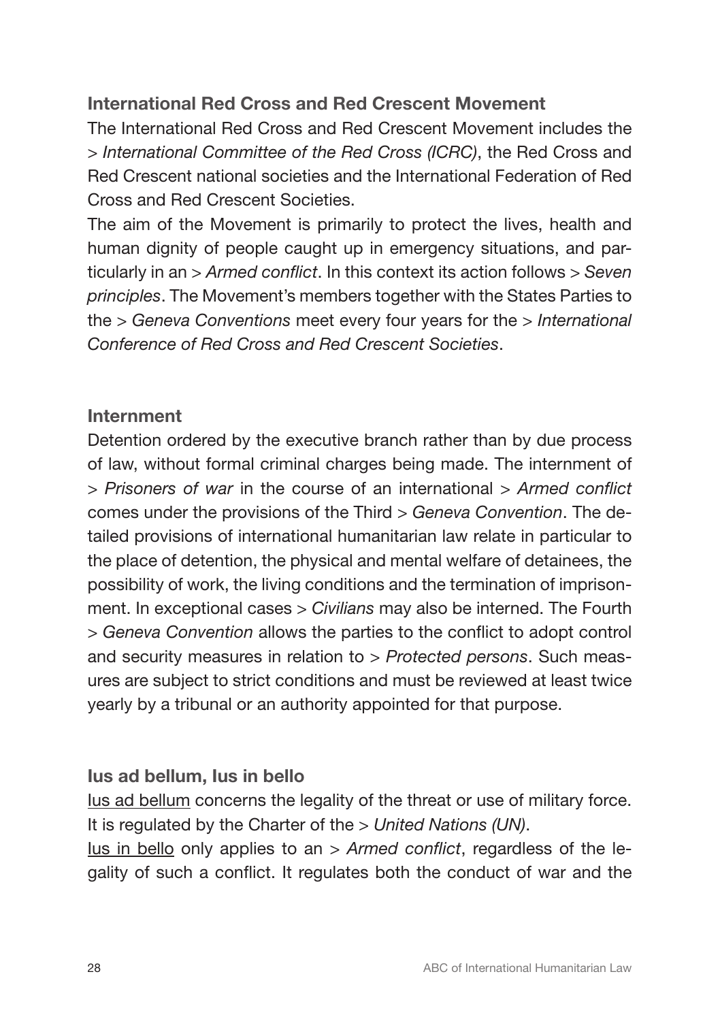# International Red Cross and Red Crescent Movement

The International Red Cross and Red Crescent Movement includes the *> International Committee of the Red Cross (ICRC)*, the Red Cross and Red Crescent national societies and the International Federation of Red Cross and Red Crescent Societies.

The aim of the Movement is primarily to protect the lives, health and human dignity of people caught up in emergency situations, and particularly in an *> Armed conflict*. In this context its action follows *> Seven principles*. The Movement's members together with the States Parties to the *> Geneva Conventions* meet every four years for the *> International Conference of Red Cross and Red Crescent Societies*.

# Internment

Detention ordered by the executive branch rather than by due process of law, without formal criminal charges being made. The internment of *> Prisoners of war* in the course of an international *> Armed conflict*  comes under the provisions of the Third *> Geneva Convention*. The detailed provisions of international humanitarian law relate in particular to the place of detention, the physical and mental welfare of detainees, the possibility of work, the living conditions and the termination of imprisonment. In exceptional cases *> Civilians* may also be interned. The Fourth *> Geneva Convention* allows the parties to the conflict to adopt control and security measures in relation to *> Protected persons*. Such measures are subject to strict conditions and must be reviewed at least twice yearly by a tribunal or an authority appointed for that purpose.

# Ius ad bellum, Ius in bello

Ius ad bellum concerns the legality of the threat or use of military force. It is regulated by the Charter of the *> United Nations (UN)*.

Ius in bello only applies to an *> Armed conflict*, regardless of the legality of such a conflict. It regulates both the conduct of war and the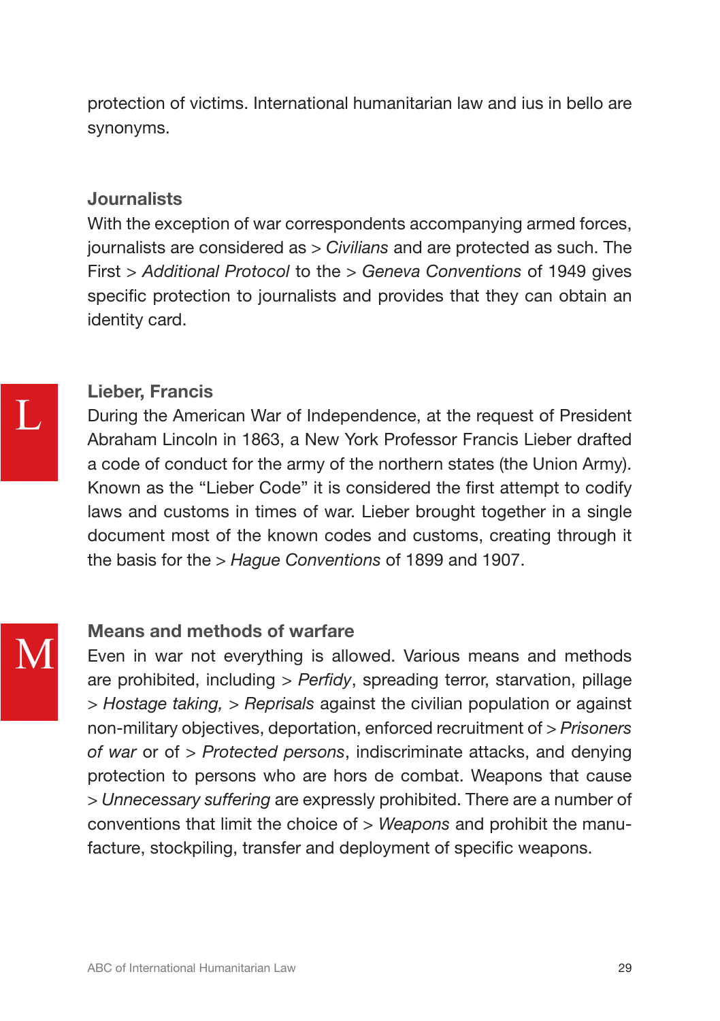protection of victims. International humanitarian law and ius in bello are synonyms.

# Journalists

With the exception of war correspondents accompanying armed forces, journalists are considered as *> Civilians* and are protected as such. The First *> Additional Protocol* to the *> Geneva Conventions* of 1949 gives specific protection to journalists and provides that they can obtain an identity card.

M

# Lieber, Francis

During the American War of Independence, at the request of President Abraham Lincoln in 1863, a New York Professor Francis Lieber drafted a code of conduct for the army of the northern states (the Union Army). Known as the "Lieber Code" it is considered the first attempt to codify laws and customs in times of war. Lieber brought together in a single document most of the known codes and customs, creating through it the basis for the *> Hague Conventions* of 1899 and 1907.

# Means and methods of warfare

Even in war not everything is allowed. Various means and methods are prohibited, including *> Perfidy*, spreading terror, starvation, pillage *> Hostage taking, > Reprisals* against the civilian population or against non-military objectives, deportation, enforced recruitment of *> Prisoners of war* or of *> Protected persons*, indiscriminate attacks, and denying protection to persons who are hors de combat. Weapons that cause *> Unnecessary suffering* are expressly prohibited. There are a number of conventions that limit the choice of *> Weapons* and prohibit the manufacture, stockpiling, transfer and deployment of specific weapons.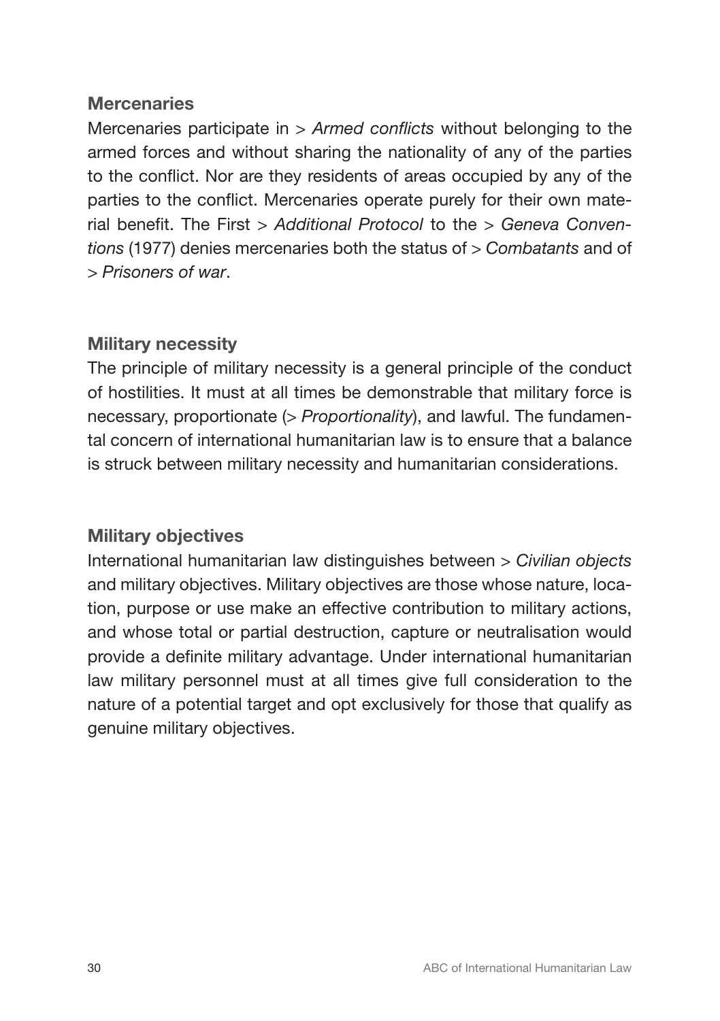# **Mercenaries**

Mercenaries participate in *> Armed conflicts* without belonging to the armed forces and without sharing the nationality of any of the parties to the conflict. Nor are they residents of areas occupied by any of the parties to the conflict. Mercenaries operate purely for their own material benefit. The First *> Additional Protocol* to the *> Geneva Conventions* (1977) denies mercenaries both the status of *> Combatants* and of *> Prisoners of war*.

# Military necessity

The principle of military necessity is a general principle of the conduct of hostilities. It must at all times be demonstrable that military force is necessary, proportionate (*> Proportionality*), and lawful. The fundamental concern of international humanitarian law is to ensure that a balance is struck between military necessity and humanitarian considerations.

# Military objectives

International humanitarian law distinguishes between *> Civilian objects* and military objectives. Military objectives are those whose nature, location, purpose or use make an effective contribution to military actions, and whose total or partial destruction, capture or neutralisation would provide a definite military advantage. Under international humanitarian law military personnel must at all times give full consideration to the nature of a potential target and opt exclusively for those that qualify as genuine military objectives.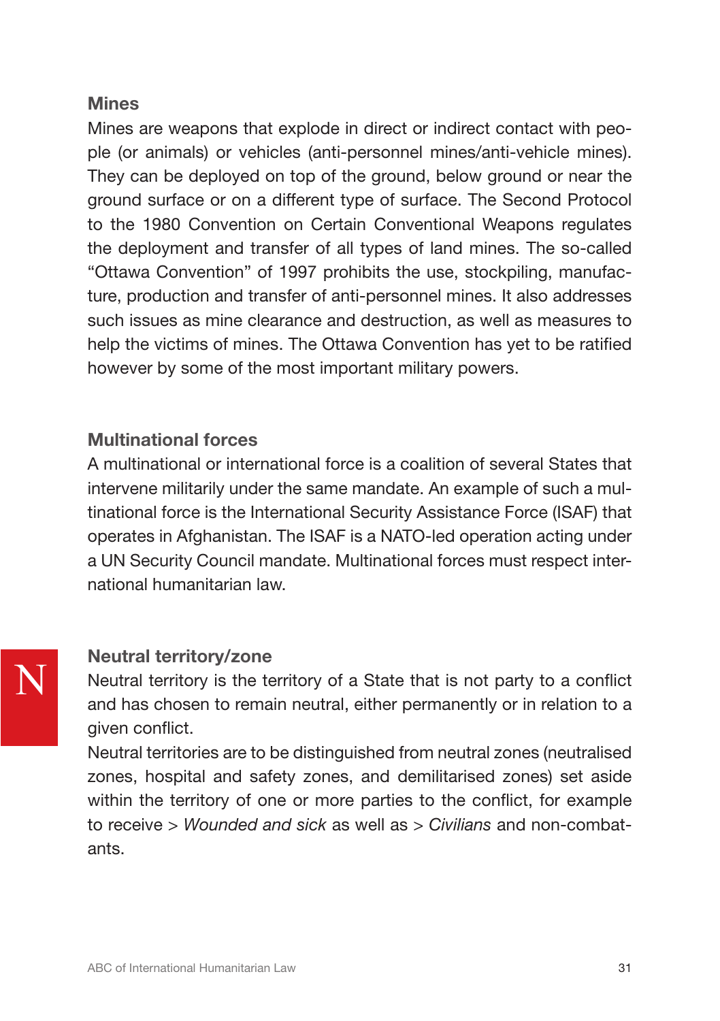# **Mines**

Mines are weapons that explode in direct or indirect contact with people (or animals) or vehicles (anti-personnel mines/anti-vehicle mines). They can be deployed on top of the ground, below ground or near the ground surface or on a different type of surface. The Second Protocol to the 1980 Convention on Certain Conventional Weapons regulates the deployment and transfer of all types of land mines. The so-called "Ottawa Convention" of 1997 prohibits the use, stockpiling, manufacture, production and transfer of anti-personnel mines. It also addresses such issues as mine clearance and destruction, as well as measures to help the victims of mines. The Ottawa Convention has yet to be ratified however by some of the most important military powers.

# Multinational forces

A multinational or international force is a coalition of several States that intervene militarily under the same mandate. An example of such a multinational force is the International Security Assistance Force (ISAF) that operates in Afghanistan. The ISAF is a NATO-led operation acting under a UN Security Council mandate. Multinational forces must respect international humanitarian law.

# Neutral territory/zone

Neutral territory is the territory of a State that is not party to a conflict and has chosen to remain neutral, either permanently or in relation to a given conflict.

Neutral territories are to be distinguished from neutral zones (neutralised zones, hospital and safety zones, and demilitarised zones) set aside within the territory of one or more parties to the conflict, for example to receive *> Wounded and sick* as well as *> Civilians* and non-combatants.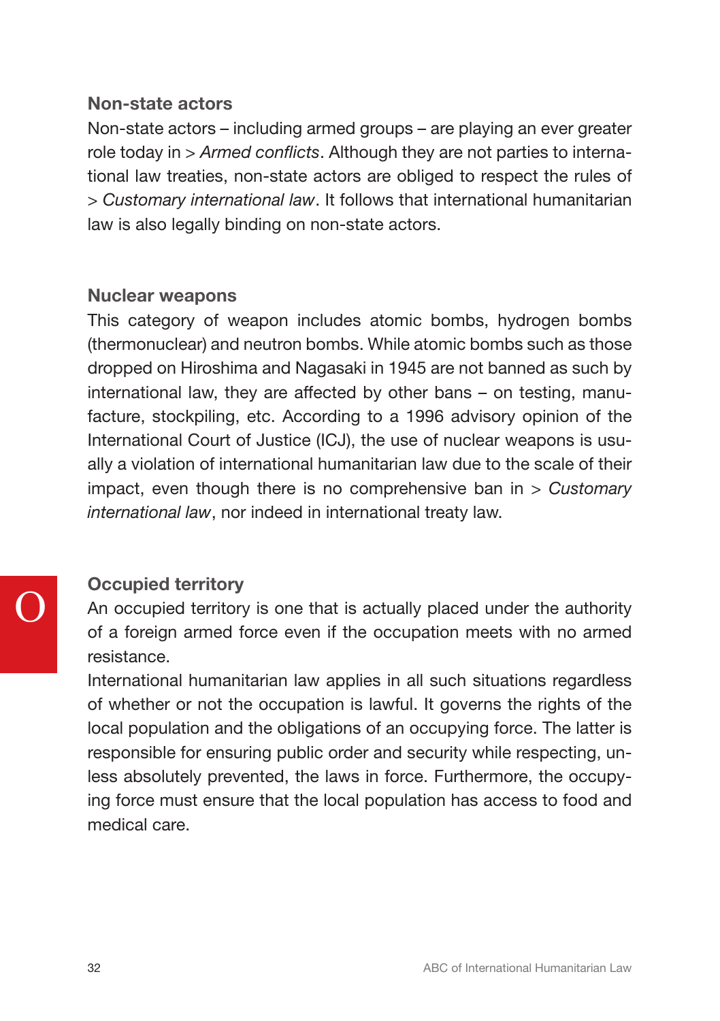# Non-state actors

Non-state actors – including armed groups – are playing an ever greater role today in *> Armed conflicts*. Although they are not parties to international law treaties, non-state actors are obliged to respect the rules of *> Customary international law*. It follows that international humanitarian law is also legally binding on non-state actors.

# Nuclear weapons

This category of weapon includes atomic bombs, hydrogen bombs (thermonuclear) and neutron bombs. While atomic bombs such as those dropped on Hiroshima and Nagasaki in 1945 are not banned as such by international law, they are affected by other bans – on testing, manufacture, stockpiling, etc. According to a 1996 advisory opinion of the International Court of Justice (ICJ), the use of nuclear weapons is usually a violation of international humanitarian law due to the scale of their impact, even though there is no comprehensive ban in *> Customary international law*, nor indeed in international treaty law.

# Occupied territory

An occupied territory is one that is actually placed under the authority of a foreign armed force even if the occupation meets with no armed resistance.

International humanitarian law applies in all such situations regardless of whether or not the occupation is lawful. It governs the rights of the local population and the obligations of an occupying force. The latter is responsible for ensuring public order and security while respecting, unless absolutely prevented, the laws in force. Furthermore, the occupying force must ensure that the local population has access to food and medical care.

O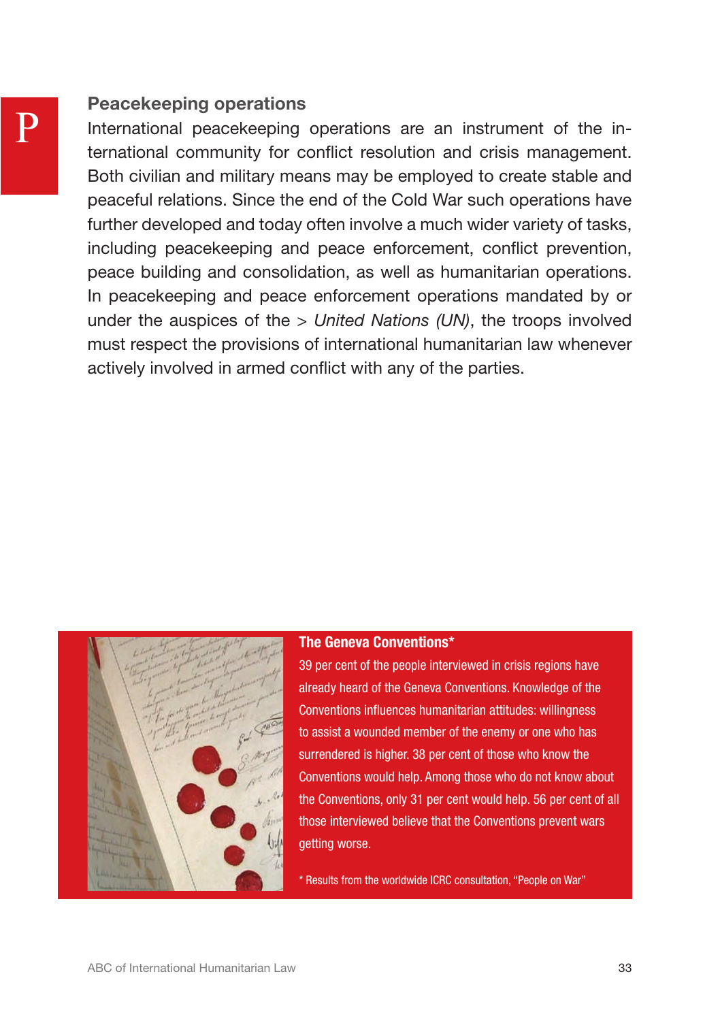# Peacekeeping operations

International peacekeeping operations are an instrument of the international community for conflict resolution and crisis management. Both civilian and military means may be employed to create stable and peaceful relations. Since the end of the Cold War such operations have further developed and today often involve a much wider variety of tasks, including peacekeeping and peace enforcement, conflict prevention, peace building and consolidation, as well as humanitarian operations. In peacekeeping and peace enforcement operations mandated by or under the auspices of the *> United Nations (UN)*, the troops involved must respect the provisions of international humanitarian law whenever actively involved in armed conflict with any of the parties.



### The Geneva Conventions\*

39 per cent of the people interviewed in crisis regions have already heard of the Geneva Conventions. Knowledge of the Conventions influences humanitarian attitudes: willingness to assist a wounded member of the enemy or one who has surrendered is higher. 38 per cent of those who know the Conventions would help. Among those who do not know about the Conventions, only 31 per cent would help. 56 per cent of all those interviewed believe that the Conventions prevent wars getting worse.

\* Results from the worldwide ICRC consultation, "People on War"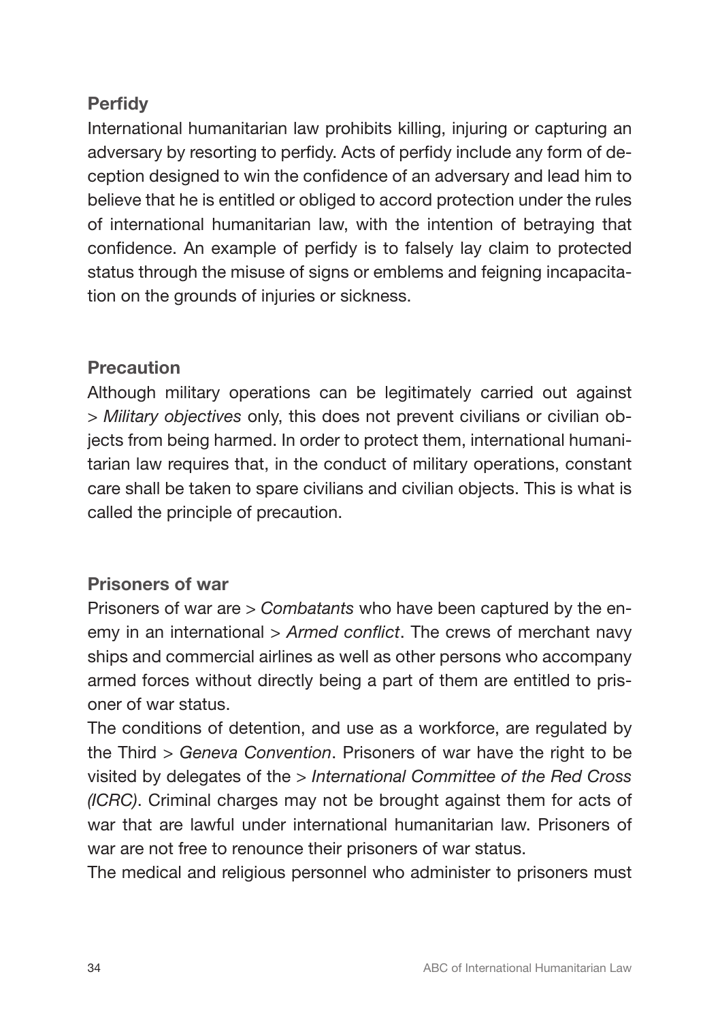# **Perfidy**

International humanitarian law prohibits killing, injuring or capturing an adversary by resorting to perfidy. Acts of perfidy include any form of deception designed to win the confidence of an adversary and lead him to believe that he is entitled or obliged to accord protection under the rules of international humanitarian law, with the intention of betraying that confidence. An example of perfidy is to falsely lay claim to protected status through the misuse of signs or emblems and feigning incapacitation on the grounds of injuries or sickness.

# **Precaution**

Although military operations can be legitimately carried out against *> Military objectives* only, this does not prevent civilians or civilian objects from being harmed. In order to protect them, international humanitarian law requires that, in the conduct of military operations, constant care shall be taken to spare civilians and civilian objects. This is what is called the principle of precaution.

# Prisoners of war

Prisoners of war are *> Combatants* who have been captured by the enemy in an international *> Armed conflict*. The crews of merchant navy ships and commercial airlines as well as other persons who accompany armed forces without directly being a part of them are entitled to prisoner of war status.

The conditions of detention, and use as a workforce, are regulated by the Third *> Geneva Convention*. Prisoners of war have the right to be visited by delegates of the *> International Committee of the Red Cross (ICRC)*. Criminal charges may not be brought against them for acts of war that are lawful under international humanitarian law. Prisoners of war are not free to renounce their prisoners of war status.

The medical and religious personnel who administer to prisoners must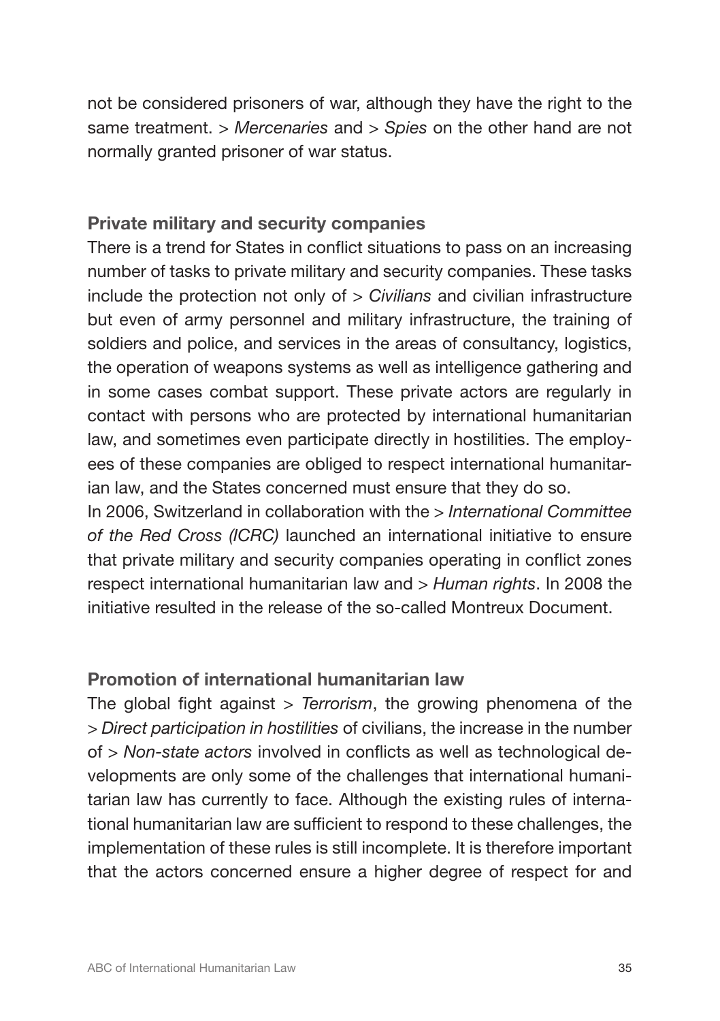not be considered prisoners of war, although they have the right to the same treatment. *> Mercenaries* and *> Spies* on the other hand are not normally granted prisoner of war status.

# Private military and security companies

There is a trend for States in conflict situations to pass on an increasing number of tasks to private military and security companies. These tasks include the protection not only of *> Civilians* and civilian infrastructure but even of army personnel and military infrastructure, the training of soldiers and police, and services in the areas of consultancy, logistics, the operation of weapons systems as well as intelligence gathering and in some cases combat support. These private actors are regularly in contact with persons who are protected by international humanitarian law, and sometimes even participate directly in hostilities. The employees of these companies are obliged to respect international humanitarian law, and the States concerned must ensure that they do so.

In 2006, Switzerland in collaboration with the *> International Committee of the Red Cross (ICRC)* launched an international initiative to ensure that private military and security companies operating in conflict zones respect international humanitarian law and *> Human rights*. In 2008 the initiative resulted in the release of the so-called Montreux Document.

# Promotion of international humanitarian law

The global fight against *> Terrorism*, the growing phenomena of the *> Direct participation in hostilities* of civilians, the increase in the number of *> Non-state actors* involved in conflicts as well as technological developments are only some of the challenges that international humanitarian law has currently to face. Although the existing rules of international humanitarian law are sufficient to respond to these challenges, the implementation of these rules is still incomplete. It is therefore important that the actors concerned ensure a higher degree of respect for and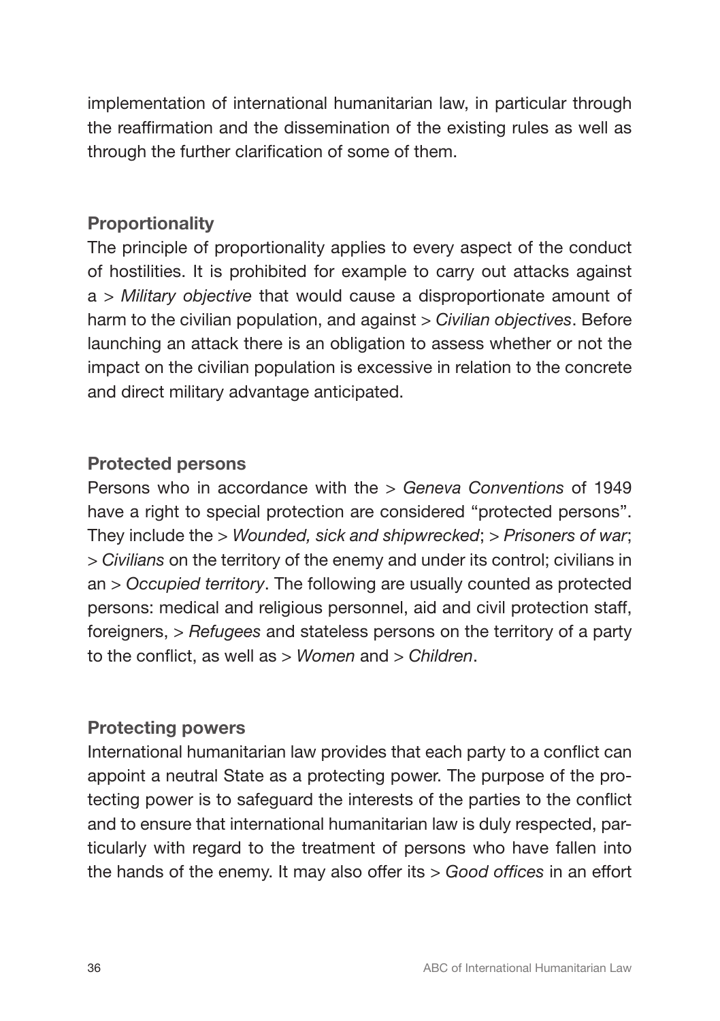implementation of international humanitarian law, in particular through the reaffirmation and the dissemination of the existing rules as well as through the further clarification of some of them.

# **Proportionality**

The principle of proportionality applies to every aspect of the conduct of hostilities. It is prohibited for example to carry out attacks against a *> Military objective* that would cause a disproportionate amount of harm to the civilian population, and against *> Civilian objectives*. Before launching an attack there is an obligation to assess whether or not the impact on the civilian population is excessive in relation to the concrete and direct military advantage anticipated.

# Protected persons

Persons who in accordance with the *> Geneva Conventions* of 1949 have a right to special protection are considered "protected persons". They include the *> Wounded, sick and shipwrecked*; *> Prisoners of war*; *> Civilians* on the territory of the enemy and under its control; civilians in an *> Occupied territory*. The following are usually counted as protected persons: medical and religious personnel, aid and civil protection staff, foreigners, *> Refugees* and stateless persons on the territory of a party to the conflict, as well as *> Women* and *> Children*.

# Protecting powers

International humanitarian law provides that each party to a conflict can appoint a neutral State as a protecting power. The purpose of the protecting power is to safeguard the interests of the parties to the conflict and to ensure that international humanitarian law is duly respected, particularly with regard to the treatment of persons who have fallen into the hands of the enemy. It may also offer its *> Good offices* in an effort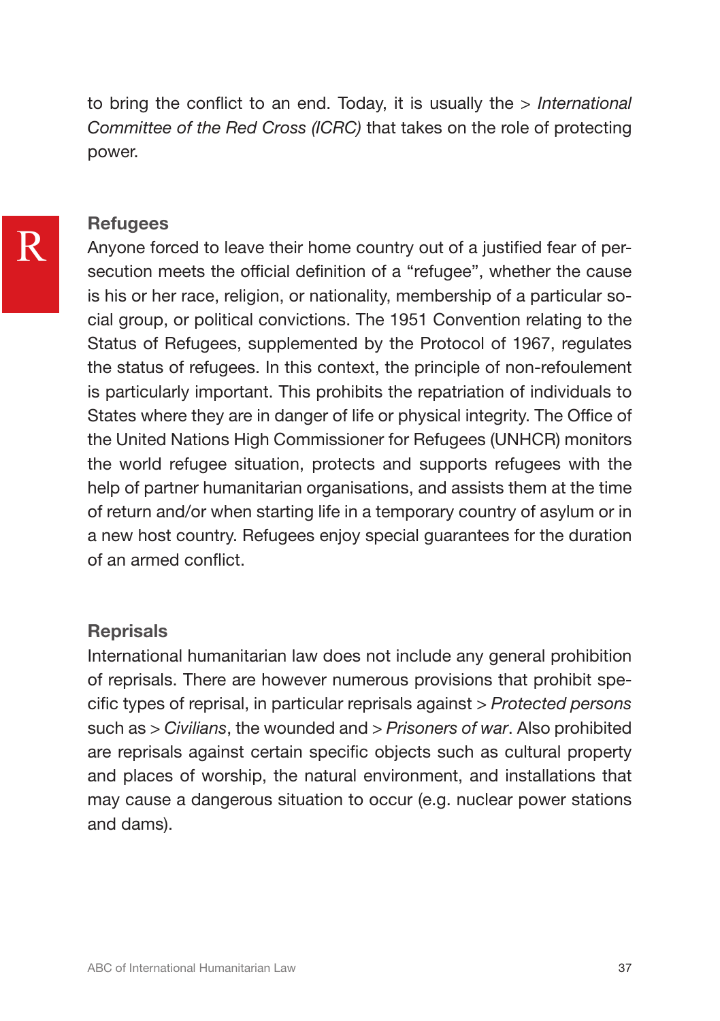to bring the conflict to an end. Today, it is usually the *> International Committee of the Red Cross (ICRC)* that takes on the role of protecting power.

# **Refugees**

Anyone forced to leave their home country out of a justified fear of persecution meets the official definition of a "refugee", whether the cause is his or her race, religion, or nationality, membership of a particular social group, or political convictions. The 1951 Convention relating to the Status of Refugees, supplemented by the Protocol of 1967, regulates the status of refugees. In this context, the principle of non-refoulement is particularly important. This prohibits the repatriation of individuals to States where they are in danger of life or physical integrity. The Office of the United Nations High Commissioner for Refugees (UNHCR) monitors the world refugee situation, protects and supports refugees with the help of partner humanitarian organisations, and assists them at the time of return and/or when starting life in a temporary country of asylum or in a new host country. Refugees enjoy special guarantees for the duration of an armed conflict.

# **Reprisals**

International humanitarian law does not include any general prohibition of reprisals. There are however numerous provisions that prohibit specific types of reprisal, in particular reprisals against *> Protected persons*  such as *> Civilians*, the wounded and *> Prisoners of war*. Also prohibited are reprisals against certain specific objects such as cultural property and places of worship, the natural environment, and installations that may cause a dangerous situation to occur (e.g. nuclear power stations and dams).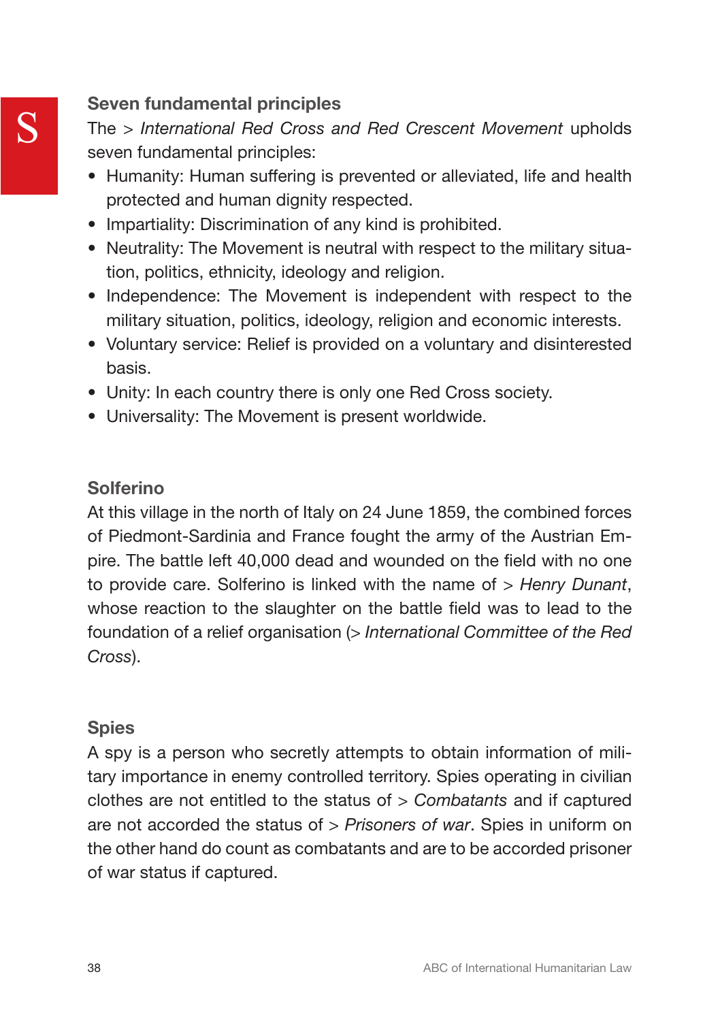# Seven fundamental principles

The *> International Red Cross and Red Crescent Movement* upholds seven fundamental principles:

- Humanity: Human suffering is prevented or alleviated, life and health protected and human dignity respected.
- Impartiality: Discrimination of any kind is prohibited.
- Neutrality: The Movement is neutral with respect to the military situation, politics, ethnicity, ideology and religion.
- Independence: The Movement is independent with respect to the military situation, politics, ideology, religion and economic interests.
- Voluntary service: Relief is provided on a voluntary and disinterested basis.
- Unity: In each country there is only one Red Cross society.
- Universality: The Movement is present worldwide.

# Solferino

At this village in the north of Italy on 24 June 1859, the combined forces of Piedmont-Sardinia and France fought the army of the Austrian Empire. The battle left 40,000 dead and wounded on the field with no one to provide care. Solferino is linked with the name of *> Henry Dunant*, whose reaction to the slaughter on the battle field was to lead to the foundation of a relief organisation (*> International Committee of the Red Cross*).

# **Spies**

A spy is a person who secretly attempts to obtain information of military importance in enemy controlled territory. Spies operating in civilian clothes are not entitled to the status of *> Combatants* and if captured are not accorded the status of *> Prisoners of war*. Spies in uniform on the other hand do count as combatants and are to be accorded prisoner of war status if captured.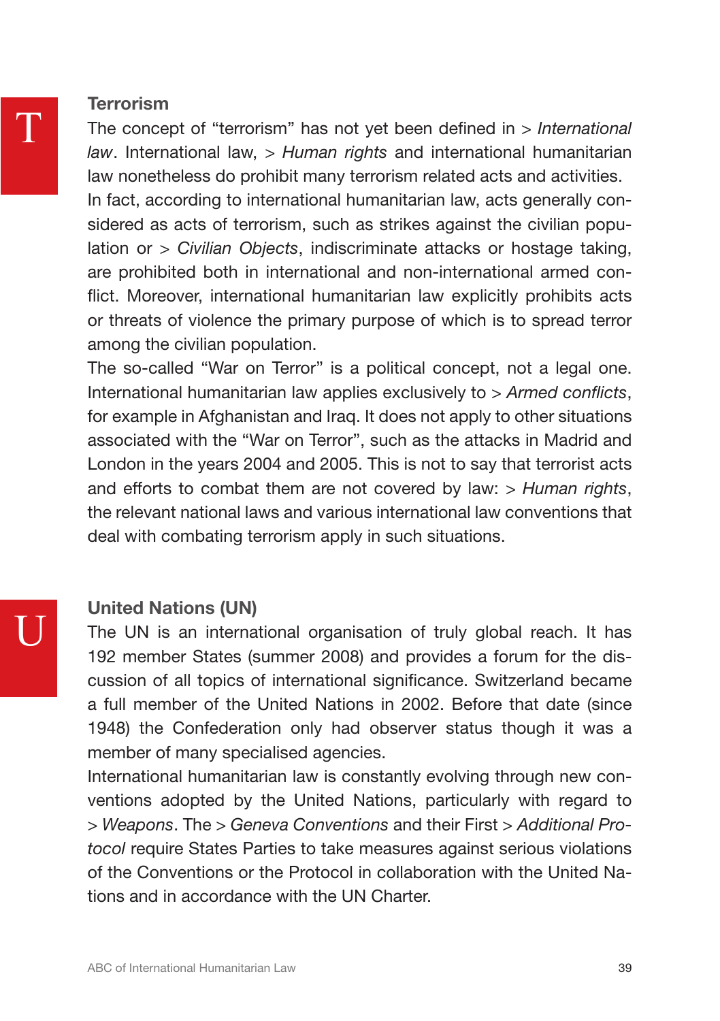# **Terrorism**

The concept of "terrorism" has not yet been defined in *> International law*. International law, *> Human rights* and international humanitarian law nonetheless do prohibit many terrorism related acts and activities. In fact, according to international humanitarian law, acts generally considered as acts of terrorism, such as strikes against the civilian population or *> Civilian Objects*, indiscriminate attacks or hostage taking, are prohibited both in international and non-international armed conflict. Moreover, international humanitarian law explicitly prohibits acts or threats of violence the primary purpose of which is to spread terror among the civilian population.

The so-called "War on Terror" is a political concept, not a legal one. International humanitarian law applies exclusively to *> Armed conflicts*, for example in Afghanistan and Iraq. It does not apply to other situations associated with the "War on Terror", such as the attacks in Madrid and London in the years 2004 and 2005. This is not to say that terrorist acts and efforts to combat them are not covered by law: *> Human rights*, the relevant national laws and various international law conventions that deal with combating terrorism apply in such situations.

# United Nations (UN)

The UN is an international organisation of truly global reach. It has 192 member States (summer 2008) and provides a forum for the discussion of all topics of international significance. Switzerland became a full member of the United Nations in 2002. Before that date (since 1948) the Confederation only had observer status though it was a member of many specialised agencies.

International humanitarian law is constantly evolving through new conventions adopted by the United Nations, particularly with regard to *> Weapons*. The *> Geneva Conventions* and their First *> Additional Protocol* require States Parties to take measures against serious violations of the Conventions or the Protocol in collaboration with the United Nations and in accordance with the UN Charter.

U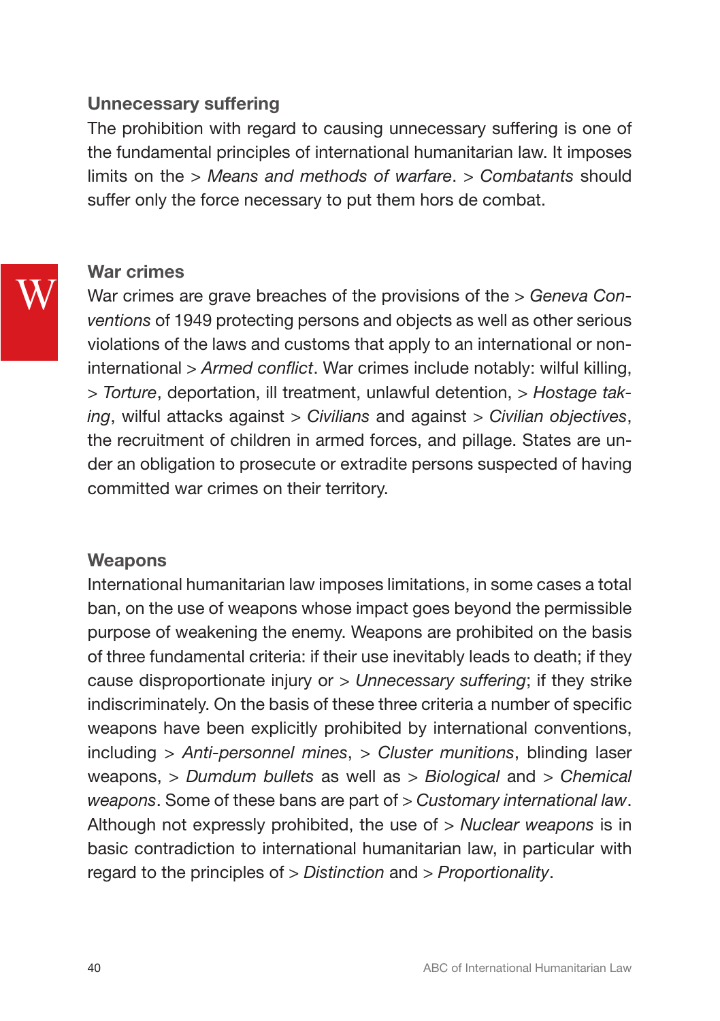# Unnecessary suffering

The prohibition with regard to causing unnecessary suffering is one of the fundamental principles of international humanitarian law. It imposes limits on the *> Means and methods of warfare*. *> Combatants* should suffer only the force necessary to put them hors de combat.

# War crimes

W

War crimes are grave breaches of the provisions of the *> Geneva Conventions* of 1949 protecting persons and objects as well as other serious violations of the laws and customs that apply to an international or noninternational *> Armed conflict*. War crimes include notably: wilful killing, *> Torture*, deportation, ill treatment, unlawful detention, *> Hostage taking*, wilful attacks against *> Civilians* and against *> Civilian objectives*, the recruitment of children in armed forces, and pillage. States are under an obligation to prosecute or extradite persons suspected of having committed war crimes on their territory.

# **Weapons**

International humanitarian law imposes limitations, in some cases a total ban, on the use of weapons whose impact goes beyond the permissible purpose of weakening the enemy. Weapons are prohibited on the basis of three fundamental criteria: if their use inevitably leads to death; if they cause disproportionate injury or *> Unnecessary suffering*; if they strike indiscriminately. On the basis of these three criteria a number of specific weapons have been explicitly prohibited by international conventions, including *> Anti-personnel mines*, *> Cluster munitions*, blinding laser weapons, *> Dumdum bullets* as well as *> Biological* and *> Chemical weapons*. Some of these bans are part of *> Customary international law*. Although not expressly prohibited, the use of *> Nuclear weapons* is in basic contradiction to international humanitarian law, in particular with regard to the principles of *> Distinction* and *> Proportionality*.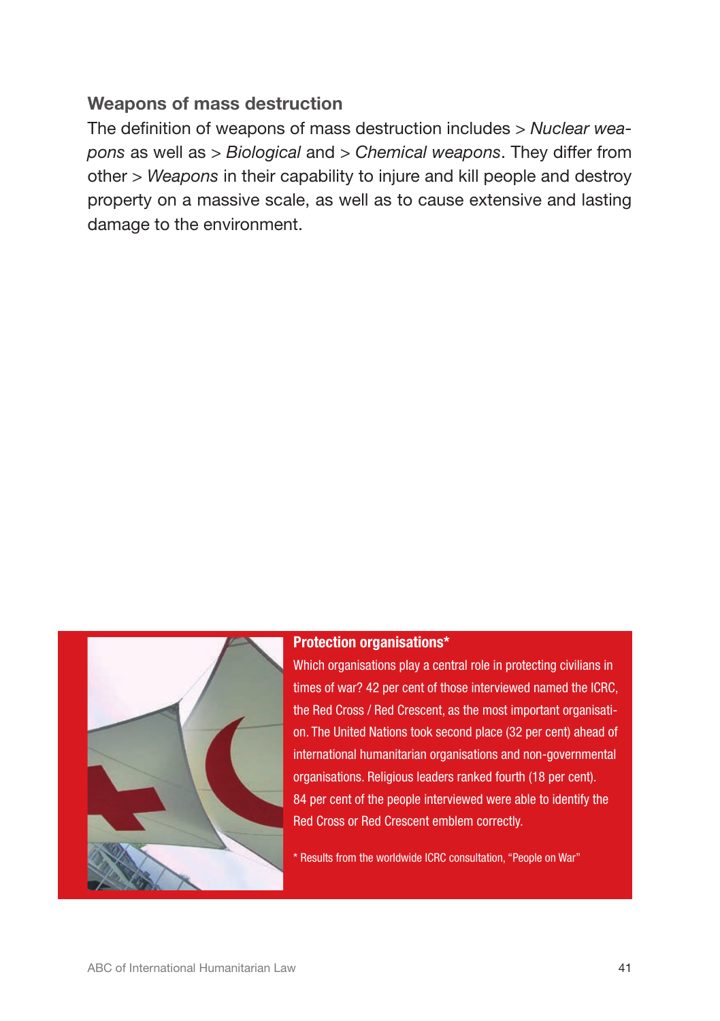# Weapons of mass destruction

The definition of weapons of mass destruction includes *> Nuclear weapons* as well as *> Biological* and *> Chemical weapons*. They differ from other *> Weapons* in their capability to injure and kill people and destroy property on a massive scale, as well as to cause extensive and lasting damage to the environment.



### Protection organisations\*

Which organisations play a central role in protecting civilians in times of war? 42 per cent of those interviewed named the ICRC, the Red Cross / Red Crescent, as the most important organisation. The United Nations took second place (32 per cent) ahead of international humanitarian organisations and non-governmental organisations. Religious leaders ranked fourth (18 per cent). 84 per cent of the people interviewed were able to identify the Red Cross or Red Crescent emblem correctly.

\* Results from the worldwide ICRC consultation, "People on War"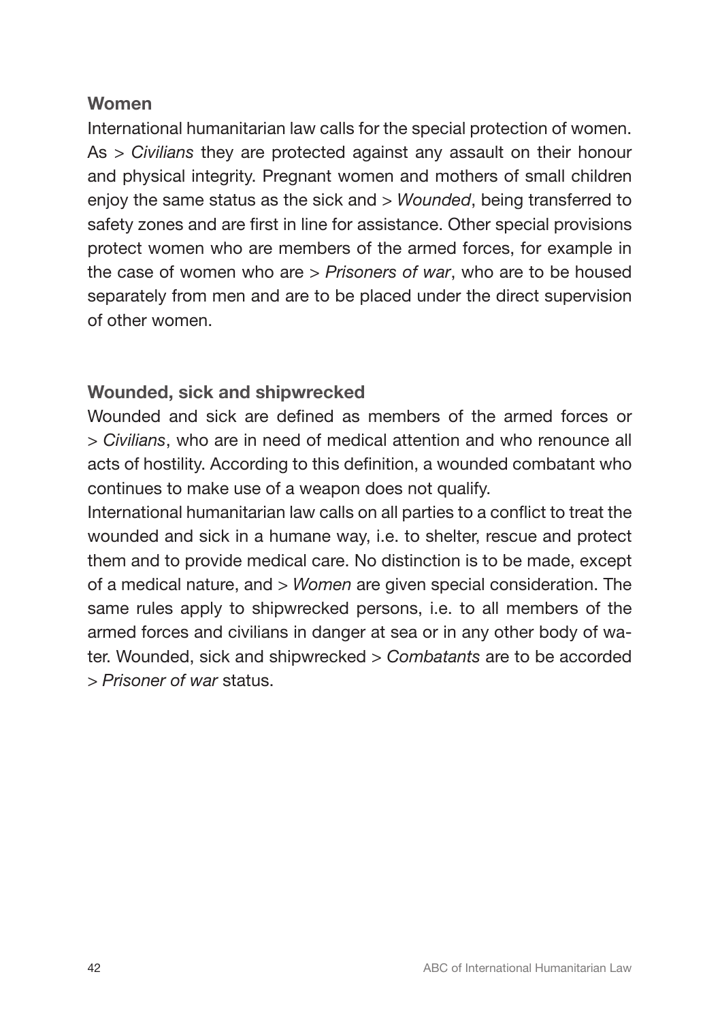# Women

International humanitarian law calls for the special protection of women. As *> Civilians* they are protected against any assault on their honour and physical integrity. Pregnant women and mothers of small children enjoy the same status as the sick and *> Wounded*, being transferred to safety zones and are first in line for assistance. Other special provisions protect women who are members of the armed forces, for example in the case of women who are *> Prisoners of war*, who are to be housed separately from men and are to be placed under the direct supervision of other women.

# Wounded, sick and shipwrecked

Wounded and sick are defined as members of the armed forces or *> Civilians*, who are in need of medical attention and who renounce all acts of hostility. According to this definition, a wounded combatant who continues to make use of a weapon does not qualify.

International humanitarian law calls on all parties to a conflict to treat the wounded and sick in a humane way, i.e. to shelter, rescue and protect them and to provide medical care. No distinction is to be made, except of a medical nature, and *> Women* are given special consideration. The same rules apply to shipwrecked persons, i.e. to all members of the armed forces and civilians in danger at sea or in any other body of water. Wounded, sick and shipwrecked *> Combatants* are to be accorded *> Prisoner of war* status.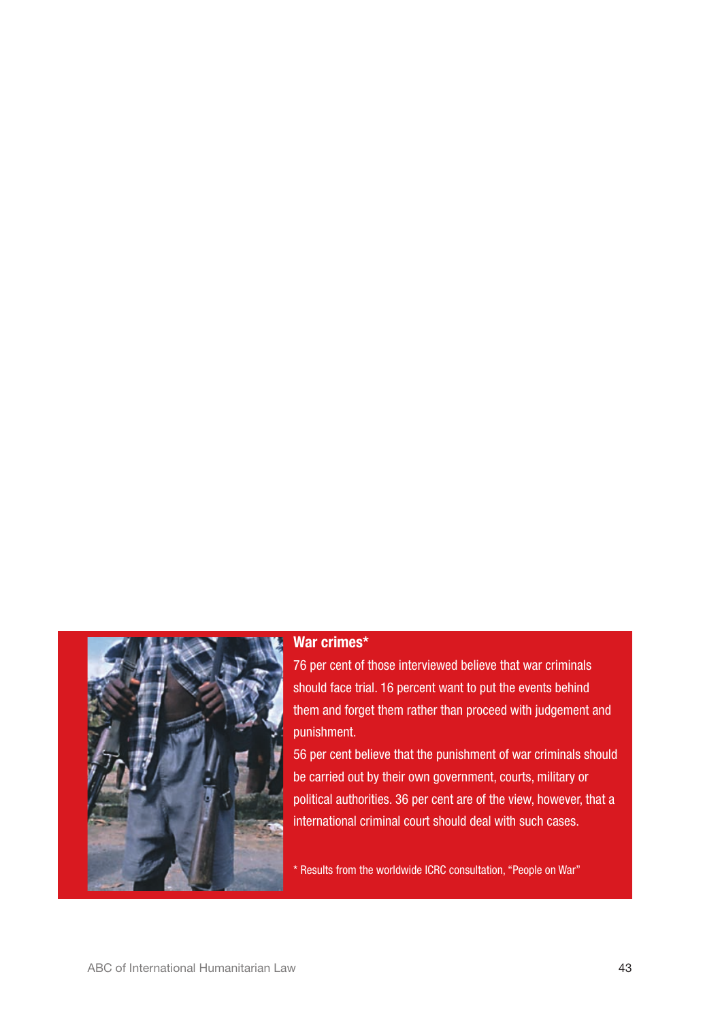

### War crimes\*

76 per cent of those interviewed believe that war criminals should face trial. 16 percent want to put the events behind them and forget them rather than proceed with judgement and punishment.

56 per cent believe that the punishment of war criminals should be carried out by their own government, courts, military or political authorities. 36 per cent are of the view, however, that a international criminal court should deal with such cases.

\* Results from the worldwide ICRC consultation, "People on War"